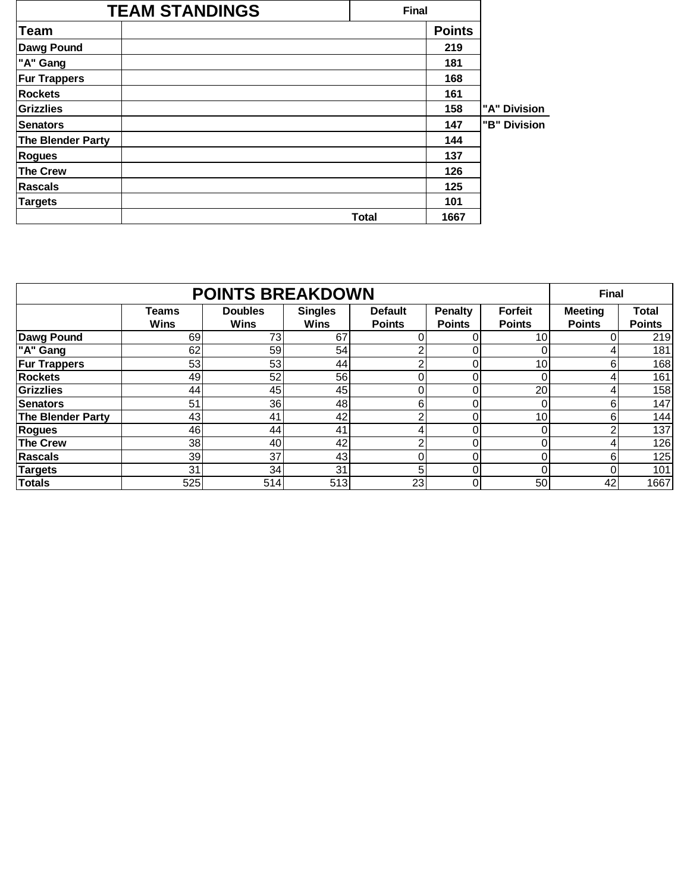|                     | <b>TEAM STANDINGS</b> | <b>Final</b> |               |              |
|---------------------|-----------------------|--------------|---------------|--------------|
| Team                |                       |              | <b>Points</b> |              |
| <b>Dawg Pound</b>   |                       |              | 219           |              |
| "A" Gang            |                       |              | 181           |              |
| <b>Fur Trappers</b> |                       |              | 168           |              |
| <b>Rockets</b>      |                       |              | 161           |              |
| Grizzlies           |                       |              | 158           | "A" Division |
| Senators            |                       |              | 147           | "B" Division |
| The Blender Party   |                       |              | 144           |              |
| <b>Rogues</b>       |                       |              | 137           |              |
| <b>The Crew</b>     |                       |              | 126           |              |
| Rascals             |                       |              | 125           |              |
| <b>Targets</b>      |                       |              | 101           |              |
|                     |                       | <b>Total</b> | 1667          |              |

|                     | <b>Final</b>                |                               |                               |                                 |                                 |                                 |                                 |                               |
|---------------------|-----------------------------|-------------------------------|-------------------------------|---------------------------------|---------------------------------|---------------------------------|---------------------------------|-------------------------------|
|                     | <b>Teams</b><br><b>Wins</b> | <b>Doubles</b><br><b>Wins</b> | <b>Singles</b><br><b>Wins</b> | <b>Default</b><br><b>Points</b> | <b>Penalty</b><br><b>Points</b> | <b>Forfeit</b><br><b>Points</b> | <b>Meeting</b><br><b>Points</b> | <b>Total</b><br><b>Points</b> |
| <b>Dawg Pound</b>   | 69                          | 73                            | 67                            | n.                              |                                 | 10                              | 0                               | 219                           |
| "A" Gang            | 62                          | 59                            | 54                            | ◠                               |                                 |                                 | 4                               | 181                           |
| <b>Fur Trappers</b> | 53                          | 53                            | 44                            | 2                               |                                 | 10                              | 6                               | 168                           |
| <b>Rockets</b>      | 49                          | 52                            | 56                            | $\Omega$                        |                                 | 0                               | 4                               | 161                           |
| <b>Grizzlies</b>    | 44                          | 45                            | 45                            | 0.                              |                                 | 20                              | 4                               | 158                           |
| <b>Senators</b>     | 51                          | 36                            | 48                            | 6                               | $\Omega$                        |                                 | 6                               | 147                           |
| The Blender Party   | 43                          | 41                            | 42                            | $\overline{2}$                  |                                 | 10                              | 6                               | 144                           |
| <b>Rogues</b>       | 46                          | 44                            | 41                            | 4                               | 0                               | 0                               | 2                               | 137                           |
| The Crew            | 38                          | 40                            | 42                            | 2                               | 0.                              | 0                               | 4                               | 126                           |
| <b>Rascals</b>      | 39                          | 37                            | 43                            | $\Omega$                        |                                 |                                 | 6                               | 125                           |
| Targets             | 31                          | 34                            | 31                            | 5                               | 0.                              | 0                               | 0                               | 101                           |
| <b>Totals</b>       | 525                         | 514                           | 513                           | 23                              | 0                               | 50                              | 42                              | 1667                          |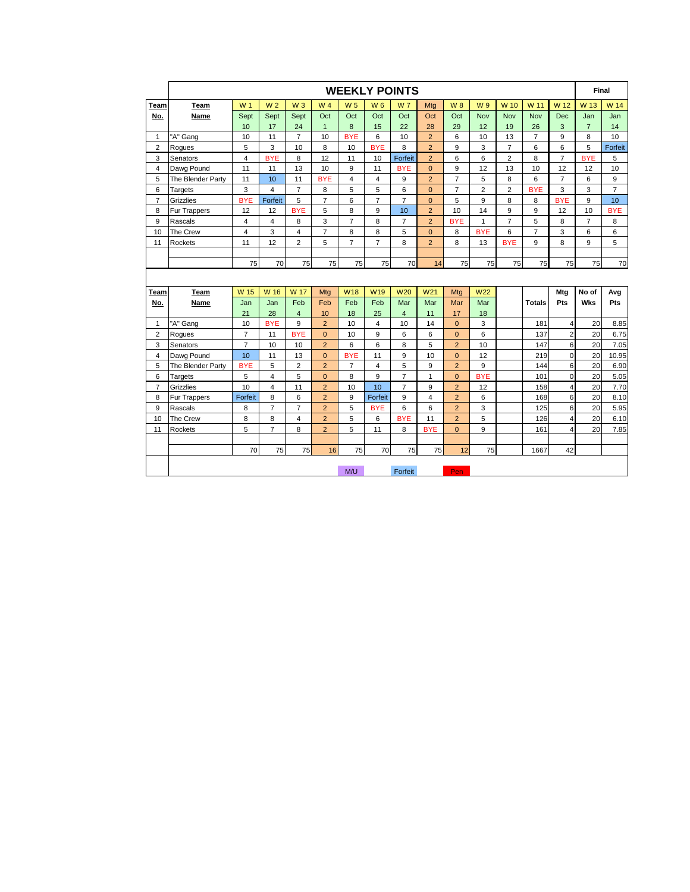|                |                     |                |                |                         |                |                |                 | <b>WEEKLY POINTS</b> |                 |                |                |                |                |                         | Final          |                |
|----------------|---------------------|----------------|----------------|-------------------------|----------------|----------------|-----------------|----------------------|-----------------|----------------|----------------|----------------|----------------|-------------------------|----------------|----------------|
| Team           | Team                | W <sub>1</sub> | W <sub>2</sub> | $W_3$                   | W 4            | W <sub>5</sub> | W <sub>6</sub>  | <b>W7</b>            | Mta             | <b>W8</b>      | W 9            | W 10           | W 11           | W 12                    | W 13           | W 14           |
| No.            | Name                | Sept           | Sept           | Sept                    | Oct            | Oct            | Oct             | Oct                  | Oct             | Oct            | <b>Nov</b>     | <b>Nov</b>     | Nov            | <b>Dec</b>              | Jan            | Jan            |
|                |                     | 10             | 17             | 24                      | $\mathbf{1}$   | 8              | 15              | 22                   | 28              | 29             | 12             | 19             | 26             | 3                       | $\overline{7}$ | 14             |
| $\mathbf{1}$   | "A" Gang            | 10             | 11             | $\overline{7}$          | 10             | <b>BYE</b>     | 6               | 10                   | $\overline{2}$  | 6              | 10             | 13             | $\overline{7}$ | 9                       | 8              | 10             |
| $\overline{2}$ | Rogues              | 5              | 3              | 10                      | 8              | 10             | <b>BYE</b>      | 8                    | $\overline{2}$  | 9              | 3              | $\overline{7}$ | 6              | 6                       | 5              | Forfeit        |
| 3              | Senators            | $\overline{4}$ | <b>BYE</b>     | 8                       | 12             | 11             | 10              | Forfeit              | $\overline{2}$  | 6              | 6              | 2              | 8              | $\overline{7}$          | <b>BYE</b>     | 5              |
| 4              | Dawg Pound          | 11             | 11             | 13                      | 10             | 9              | 11              | <b>BYE</b>           | $\mathbf{0}$    | 9              | 12             | 13             | 10             | 12                      | 12             | 10             |
| 5              | The Blender Party   | 11             | 10             | 11                      | <b>BYE</b>     | $\overline{4}$ | $\overline{4}$  | 9                    | $\overline{2}$  | $\overline{7}$ | 5              | 8              | 6              | $\overline{7}$          | 6              | 9              |
| 6              | Targets             | 3              | 4              | $\overline{7}$          | 8              | 5              | 5               | 6                    | $\mathbf{0}$    | $\overline{7}$ | $\overline{2}$ | 2              | <b>BYE</b>     | 3                       | 3              | $\overline{7}$ |
| $\overline{7}$ | Grizzlies           | <b>BYE</b>     | Forfeit        | 5                       | $\overline{7}$ | 6              | $\overline{7}$  | $\overline{7}$       | $\mathbf{0}$    | 5              | 9              | 8              | 8              | <b>BYE</b>              | 9              | 10             |
| 8              | Fur Trappers        | 12             | 12             | <b>BYE</b>              | 5              | 8              | 9               | 10                   | $\overline{2}$  | 10             | 14             | 9              | 9              | 12                      | 10             | <b>BYE</b>     |
| 9              | Rascals             | $\overline{4}$ | 4              | 8                       | 3              | $\overline{7}$ | 8               | $\overline{7}$       | $\overline{2}$  | <b>BYE</b>     | 1              | $\overline{7}$ | 5              | 8                       | $\overline{7}$ | 8              |
| 10             | The Crew            | $\overline{4}$ | 3              | $\overline{4}$          | $\overline{7}$ | 8              | 8               | 5                    | $\mathbf{0}$    | 8              | <b>BYE</b>     | 6              | $\overline{7}$ | 3                       | 6              | 6              |
| 11             | Rockets             | 11             | 12             | $\overline{2}$          | 5              | $\overline{7}$ | $\overline{7}$  | 8                    | $\overline{2}$  | 8              | 13             | <b>BYE</b>     | 9              | 8                       | 9              | 5              |
|                |                     |                |                |                         |                |                |                 |                      |                 |                |                |                |                |                         |                |                |
|                |                     | 75             | 70             | 75                      | 75             | 75             | 75              | 70                   | 14              | 75             | 75             | 75             | 75             | 75                      | 75             | 70             |
|                |                     |                |                |                         |                |                |                 |                      |                 |                |                |                |                |                         |                |                |
| Team           | Team                | W 15           | W 16           | W 17                    | Mtg            | <b>W18</b>     | W <sub>19</sub> | <b>W20</b>           | W <sub>21</sub> | Mtg            | W22            |                |                | Mtg                     | No of          | Avg            |
| No.            | Name                | Jan            | Jan            | Feb                     | Feb            | Feb            | Feb             | Mar                  | Mar             | Mar            | Mar            |                | <b>Totals</b>  | Pts                     | <b>Wks</b>     | Pts            |
|                |                     | 21             | 28             | $\overline{4}$          | 10             | 18             | 25              | $\overline{4}$       | 11              | 17             | 18             |                |                |                         |                |                |
| $\mathbf{1}$   | "A" Gang            | 10             | <b>BYE</b>     | 9                       | $\overline{2}$ | 10             | $\overline{4}$  | 10                   | 14              | $\overline{0}$ | 3              |                | 181            | $\overline{4}$          | 20             | 8.85           |
| $\overline{2}$ | Rogues              | $\overline{7}$ | 11             | <b>BYE</b>              | $\overline{0}$ | 10             | 9               | 6                    | 6               | $\overline{0}$ | 6              |                | 137            | $\overline{2}$          | 20             | 6.75           |
| 3              | Senators            | $\overline{7}$ | 10             | 10                      | $\overline{2}$ | 6              | 6               | 8                    | 5               | $\overline{2}$ | 10             |                | 147            | 6                       | 20             | 7.05           |
| $\overline{4}$ | Dawg Pound          | 10             | 11             | 13                      | $\overline{0}$ | <b>BYE</b>     | 11              | 9                    | 10              | $\overline{0}$ | 12             |                | 219            | $\mathbf 0$             | 20             | 10.95          |
| 5              | The Blender Party   | <b>BYE</b>     | 5              | $\overline{\mathbf{c}}$ | $\overline{2}$ | $\overline{7}$ | $\overline{4}$  | 5                    | 9               | $\overline{2}$ | 9              |                | 144            | 6                       | 20             | 6.90           |
| 6              | Targets             | 5              | 4              | 5                       | $\overline{0}$ | 8              | 9               | $\overline{7}$       | $\mathbf{1}$    | $\overline{0}$ | <b>BYE</b>     |                | 101            | $\mathbf 0$             | 20             | 5.05           |
| $\overline{7}$ | <b>Grizzlies</b>    | 10             | 4              | 11                      | $\overline{2}$ | 10             | 10              | $\overline{7}$       | 9               | $\overline{2}$ | 12             |                | 158            | $\overline{4}$          | 20             | 7.70           |
| 8              | <b>Fur Trappers</b> | Forfeit        | 8              | 6                       | $\overline{2}$ | 9              | Forfeit         | 9                    | $\overline{4}$  | $\overline{2}$ | 6              |                | 168            | 6                       | 20             | 8.10           |
| 9              | Rascals             | 8              | $\overline{7}$ | $\overline{7}$          | $\overline{2}$ | 5              | <b>BYE</b>      | 6                    | 6               | $\overline{2}$ | 3              |                | 125            | 6                       | 20             | 5.95           |
| 10             | The Crew            | 8              | 8              | 4                       | $\overline{2}$ | 5              | 6               | <b>BYE</b>           | 11              | $\overline{2}$ | 5              |                | 126            | 4                       | 20             | 6.10           |
| 11             | Rockets             | 5              | $\overline{7}$ | 8                       | $\overline{2}$ | 5              | 11              | 8                    | <b>BYE</b>      | $\overline{0}$ | 9              |                | 161            | $\overline{\mathbf{A}}$ | 20             | 7.85           |
|                |                     |                |                |                         |                |                |                 |                      |                 |                |                |                |                |                         |                |                |
|                |                     | 70             | 75             | 75                      | 16             | 75             | 70              | 75                   | 75              | 12             | 75             |                | 1667           | 42                      |                |                |
|                |                     |                |                |                         |                |                |                 |                      |                 |                |                |                |                |                         |                |                |
|                |                     |                |                |                         |                | M/U            |                 | Forfeit              |                 | Pen            |                |                |                |                         |                |                |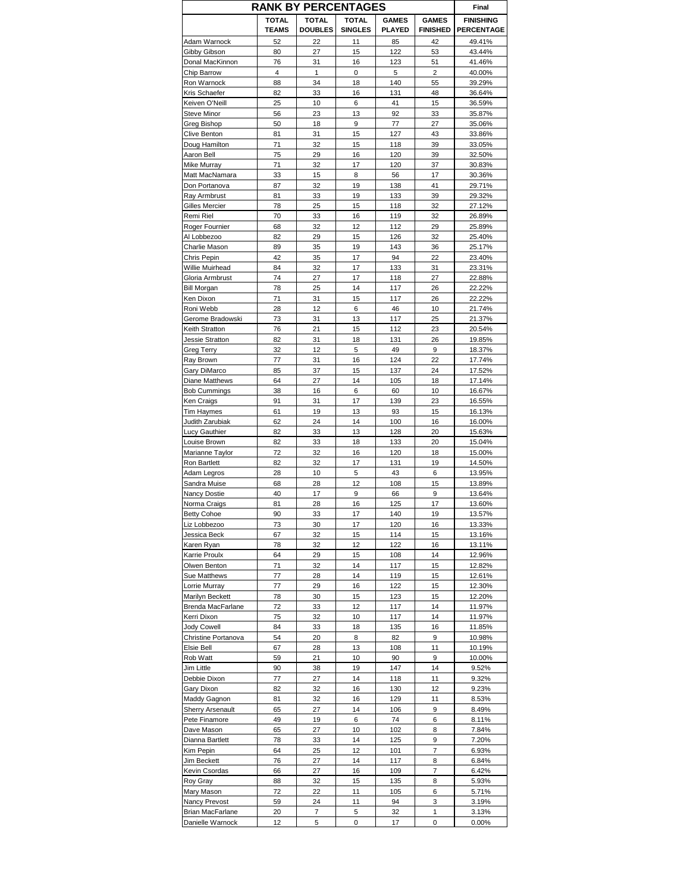| <b>RANK BY PERCENTAGES</b>    |                              |                                |                                |                               |                                 | Final                                 |
|-------------------------------|------------------------------|--------------------------------|--------------------------------|-------------------------------|---------------------------------|---------------------------------------|
|                               | <b>TOTAL</b><br><b>TEAMS</b> | <b>TOTAL</b><br><b>DOUBLES</b> | <b>TOTAL</b><br><b>SINGLES</b> | <b>GAMES</b><br><b>PLAYED</b> | <b>GAMES</b><br><b>FINISHED</b> | <b>FINISHING</b><br><b>PERCENTAGE</b> |
| Adam Warnock                  | 52                           | 22                             | 11                             | 85                            | 42                              | 49.41%                                |
| Gibby Gibson                  | 80                           | 27                             | 15                             | 122                           | 53                              | 43.44%                                |
| Donal MacKinnon               | 76                           | 31                             | 16                             | 123                           | 51                              | 41.46%                                |
| Chip Barrow                   | $\overline{4}$<br>88         | $\mathbf{1}$<br>34             | 0                              | 5<br>140                      | $\overline{2}$                  | 40.00%                                |
| Ron Warnock<br>Kris Schaefer  | 82                           | 33                             | 18<br>16                       | 131                           | 55<br>48                        | 39.29%<br>36.64%                      |
| Keiven O'Neill                | 25                           | 10                             | 6                              | 41                            | 15                              | 36.59%                                |
| Steve Minor                   | 56                           | 23                             | 13                             | 92                            | 33                              | 35.87%                                |
| Greg Bishop                   | 50                           | 18                             | 9                              | 77                            | 27                              | 35.06%                                |
| Clive Benton                  | 81                           | 31                             | 15                             | 127                           | 43                              | 33.86%                                |
| Doug Hamilton                 | 71                           | 32                             | 15                             | 118                           | 39                              | 33.05%                                |
| Aaron Bell                    | 75                           | 29                             | 16                             | 120                           | 39                              | 32.50%                                |
| Mike Murray                   | 71                           | 32                             | 17                             | 120                           | 37                              | 30.83%                                |
| Matt MacNamara                | 33                           | 15                             | 8                              | 56                            | 17                              | 30.36%                                |
| Don Portanova                 | 87                           | 32                             | 19                             | 138                           | 41                              | 29.71%                                |
| Ray Armbrust                  | 81                           | 33<br>25                       | 19                             | 133                           | 39                              | 29.32%                                |
| Gilles Mercier<br>Remi Riel   | 78<br>70                     | 33                             | 15<br>16                       | 118<br>119                    | 32<br>32                        | 27.12%<br>26.89%                      |
| Roger Fournier                | 68                           | 32                             | 12                             | 112                           | 29                              | 25.89%                                |
| Al Lobbezoo                   | 82                           | 29                             | 15                             | 126                           | 32                              | 25.40%                                |
| Charlie Mason                 | 89                           | 35                             | 19                             | 143                           | 36                              | 25.17%                                |
| Chris Pepin                   | 42                           | 35                             | 17                             | 94                            | 22                              | 23.40%                                |
| Willie Muirhead               | 84                           | 32                             | 17                             | 133                           | 31                              | 23.31%                                |
| Gloria Armbrust               | 74                           | 27                             | 17                             | 118                           | 27                              | 22.88%                                |
| <b>Bill Morgan</b>            | 78                           | 25                             | 14                             | 117                           | 26                              | 22.22%                                |
| Ken Dixon                     | 71                           | 31                             | 15                             | 117                           | 26                              | 22.22%                                |
| Roni Webb                     | 28                           | 12                             | 6                              | 46                            | 10                              | 21.74%                                |
| Gerome Bradowski              | 73                           | 31                             | 13                             | 117                           | 25                              | 21.37%                                |
| Keith Stratton                | 76                           | 21                             | 15                             | 112                           | 23                              | 20.54%                                |
| Jessie Stratton               | 82                           | 31                             | 18                             | 131                           | 26                              | 19.85%                                |
| Greg Terry                    | 32                           | 12                             | 5                              | 49                            | 9                               | 18.37%                                |
| Ray Brown                     | 77                           | 31                             | 16                             | 124                           | 22                              | 17.74%                                |
| Gary DiMarco                  | 85                           | 37                             | 15                             | 137                           | 24                              | 17.52%                                |
| Diane Matthews                | 64                           | 27                             | 14                             | 105                           | 18                              | 17.14%                                |
| <b>Bob Cummings</b>           | 38                           | 16                             | 6<br>17                        | 60                            | 10                              | 16.67%                                |
| Ken Craigs<br>Tim Haymes      | 91<br>61                     | 31<br>19                       | 13                             | 139<br>93                     | 23<br>15                        | 16.55%<br>16.13%                      |
| Judith Zarubiak               | 62                           | 24                             | 14                             | 100                           | 16                              | 16.00%                                |
| Lucy Gauthier                 | 82                           | 33                             | 13                             | 128                           | 20                              | 15.63%                                |
| Louise Brown                  | 82                           | 33                             | 18                             | 133                           | 20                              | 15.04%                                |
| Marianne Taylor               | 72                           | 32                             | 16                             | 120                           | 18                              | 15.00%                                |
| Ron Bartlett                  | 82                           | 32                             | 17                             | 131                           | 19                              | 14.50%                                |
| Adam Legros                   | 28                           | 10                             | 5                              | 43                            | 6                               | 13.95%                                |
| Sandra Muise                  | 68                           | 28                             | 12                             | 108                           | 15                              | 13.89%                                |
| <b>Nancy Dostie</b>           | 40                           | 17                             | 9                              | 66                            | 9                               | 13.64%                                |
| Norma Craigs                  | 81                           | 28                             | 16                             | 125                           | 17                              | 13.60%                                |
| <b>Betty Cohoe</b>            | 90                           | 33                             | 17                             | 140                           | 19                              | 13.57%                                |
| Liz Lobbezoo                  | 73                           | 30                             | 17                             | 120                           | 16                              | 13.33%                                |
| Jessica Beck                  | 67                           | 32                             | 15                             | 114                           | 15                              | 13.16%                                |
| Karen Ryan                    | 78                           | 32                             | 12                             | 122                           | 16                              | 13.11%                                |
| Karrie Proulx<br>Olwen Benton | 64<br>71                     | 29<br>32                       | 15<br>14                       | 108<br>117                    | 14<br>15                        | 12.96%<br>12.82%                      |
| Sue Matthews                  | 77                           | 28                             | 14                             | 119                           | 15                              | 12.61%                                |
| Lorrie Murray                 | 77                           | 29                             | 16                             | 122                           | 15                              | 12.30%                                |
| Marilyn Beckett               | 78                           | 30                             | 15                             | 123                           | 15                              | 12.20%                                |
| Brenda MacFarlane             | 72                           | 33                             | 12                             | 117                           | 14                              | 11.97%                                |
| Kerri Dixon                   | 75                           | 32                             | 10                             | 117                           | 14                              | 11.97%                                |
| <b>Jody Cowell</b>            | 84                           | 33                             | 18                             | 135                           | 16                              | 11.85%                                |
| Christine Portanova           | 54                           | 20                             | 8                              | 82                            | 9                               | 10.98%                                |
| Elsie Bell                    | 67                           | 28                             | 13                             | 108                           | 11                              | 10.19%                                |
| Rob Watt                      | 59                           | 21                             | 10                             | 90                            | 9                               | 10.00%                                |
| Jim Little                    | 90                           | 38                             | 19                             | 147                           | 14                              | 9.52%                                 |
| Debbie Dixon                  | 77                           | 27                             | 14                             | 118                           | 11                              | 9.32%                                 |
| Gary Dixon                    | 82                           | 32                             | 16                             | 130                           | 12                              | 9.23%                                 |
| Maddy Gagnon                  | 81                           | 32                             | 16                             | 129                           | 11                              | 8.53%                                 |
| <b>Sherry Arsenault</b>       | 65                           | 27                             | 14                             | 106                           | 9                               | 8.49%                                 |
| Pete Finamore<br>Dave Mason   | 49                           | 19<br>27                       | 6<br>10                        | 74<br>102                     | 6<br>8                          | 8.11%<br>7.84%                        |
| Dianna Bartlett               | 65<br>78                     | 33                             | 14                             | 125                           | 9                               | 7.20%                                 |
| Kim Pepin                     | 64                           | 25                             | 12                             | 101                           | 7                               | 6.93%                                 |
| Jim Beckett                   | 76                           | 27                             | 14                             | 117                           | 8                               | 6.84%                                 |
| Kevin Csordas                 | 66                           | 27                             | 16                             | 109                           | 7                               | 6.42%                                 |
| Roy Gray                      | 88                           | 32                             | 15                             | 135                           | 8                               | 5.93%                                 |
| Mary Mason                    | 72                           | 22                             | 11                             | 105                           | 6                               | 5.71%                                 |
| Nancy Prevost                 | 59                           | 24                             | 11                             | 94                            | 3                               | 3.19%                                 |
| Brian MacFarlane              | 20                           | 7                              | 5                              | 32                            | 1                               | 3.13%                                 |
| Danielle Warnock              | 12                           | 5                              | 0                              | 17                            | 0                               | 0.00%                                 |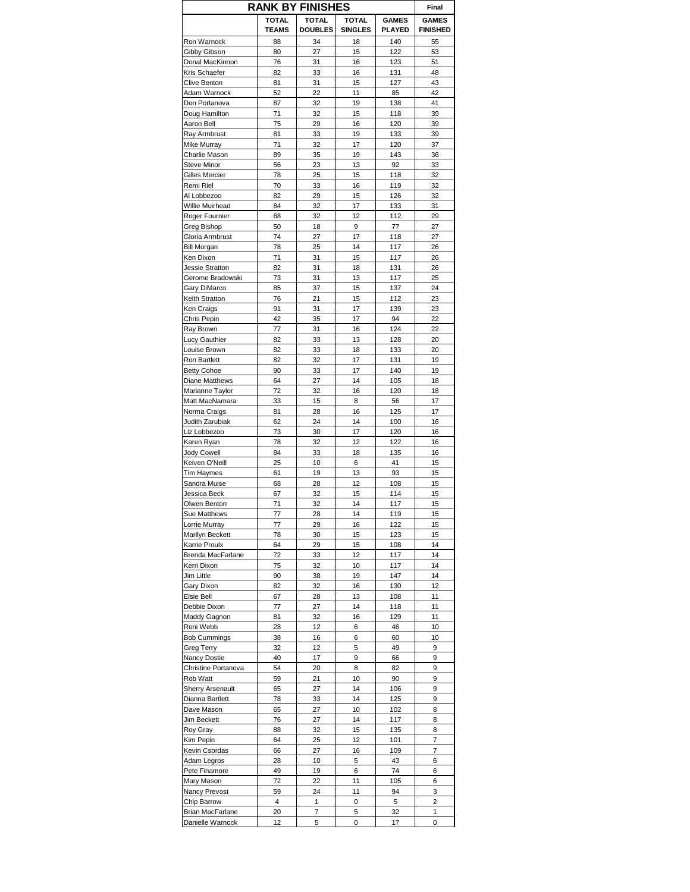| <b>RANK BY FINISHES</b>         |                              |                                |                                |                               |                                 |
|---------------------------------|------------------------------|--------------------------------|--------------------------------|-------------------------------|---------------------------------|
|                                 | <b>TOTAL</b><br><b>TEAMS</b> | <b>TOTAL</b><br><b>DOUBLES</b> | <b>TOTAL</b><br><b>SINGLES</b> | <b>GAMES</b><br><b>PLAYED</b> | <b>GAMES</b><br><b>FINISHED</b> |
| Ron Warnock                     | 88                           | 34                             | 18                             | 140                           | 55                              |
| Gibby Gibson                    | 80                           | 27                             | 15                             | 122                           | 53                              |
| Donal MacKinnon                 | 76                           | 31                             | 16                             | 123                           | 51                              |
| Kris Schaefer                   | 82                           | 33                             | 16                             | 131                           | 48                              |
| Clive Benton                    | 81                           | 31                             | 15                             | 127                           | 43                              |
| Adam Warnock                    | 52                           | 22                             | 11                             | 85                            | 42                              |
| Don Portanova                   | 87                           | 32                             | 19                             | 138                           | 41                              |
| Doug Hamilton                   | 71                           | 32                             | 15                             | 118                           | 39                              |
| Aaron Bell                      | 75                           | 29                             | 16                             | 120                           | 39                              |
| Ray Armbrust                    | 81<br>71                     | 33                             | 19<br>17                       | 133<br>120                    | 39                              |
| Mike Murray<br>Charlie Mason    | 89                           | 32                             | 19                             | 143                           | 37                              |
| Steve Minor                     | 56                           | 35<br>23                       | 13                             | 92                            | 36<br>33                        |
| Gilles Mercier                  | 78                           | 25                             | 15                             | 118                           | 32                              |
| Remi Riel                       | 70                           | 33                             | 16                             | 119                           | 32                              |
| Al Lobbezoo                     | 82                           | 29                             | 15                             | 126                           | 32                              |
| Willie Muirhead                 | 84                           | 32                             | 17                             | 133                           | 31                              |
| Roger Fournier                  | 68                           | 32                             | 12                             | 112                           | 29                              |
| Greg Bishop                     | 50                           | 18                             | 9                              | 77                            | 27                              |
| Gloria Armbrust                 | 74                           | 27                             | 17                             | 118                           | 27                              |
|                                 |                              |                                |                                |                               |                                 |
| <b>Bill Morgan</b>              | 78<br>71                     | 25<br>31                       | 14<br>15                       | 117<br>117                    | 26<br>26                        |
| Ken Dixon                       |                              |                                |                                |                               |                                 |
| Jessie Stratton                 | 82                           | 31                             | 18                             | 131                           | 26                              |
| Gerome Bradowski                | 73                           | 31                             | 13                             | 117                           | 25                              |
| Gary DiMarco<br>Keith Stratton  | 85<br>76                     | 37<br>21                       | 15<br>15                       | 137<br>112                    | 24<br>23                        |
|                                 | 91                           | 31                             | 17                             | 139                           | 23                              |
| Ken Craigs<br>Chris Pepin       | 42                           | 35                             | 17                             | 94                            | 22                              |
| Ray Brown                       | 77                           |                                | 16                             | 124                           | 22                              |
|                                 | 82                           | 31<br>33                       | 13                             | 128                           | 20                              |
| Lucy Gauthier                   | 82                           |                                | 18                             | 133                           | 20                              |
| Louise Brown                    | 82                           | 33<br>32                       | 17                             | 131                           |                                 |
| Ron Bartlett                    |                              |                                |                                |                               | 19                              |
| <b>Betty Cohoe</b>              | 90                           | 33<br>27                       | 17<br>14                       | 140                           | 19<br>18                        |
| Diane Matthews                  | 64                           |                                |                                | 105                           |                                 |
| Marianne Taylor                 | 72                           | 32                             | 16                             | 120                           | 18                              |
| Matt MacNamara                  | 33                           | 15                             | 8<br>16                        | 56                            | 17<br>17                        |
| Norma Craigs<br>Judith Zarubiak | 81<br>62                     | 28<br>24                       | 14                             | 125<br>100                    | 16                              |
| Liz Lobbezoo                    | 73                           | 30                             | 17                             | 120                           | 16                              |
| Karen Ryan                      | 78                           | 32                             | 12                             | 122                           | 16                              |
| <b>Jody Cowell</b>              | 84                           | 33                             | 18                             | 135                           | 16                              |
| Keiven O'Neill                  | 25                           | 10                             | 6                              | 41                            | 15                              |
| Tim Haymes                      | 61                           | 19                             | 13                             | 93                            | 15                              |
| Sandra Muise                    | 68                           | 28                             | 12                             | 108                           | 15                              |
| Jessica Beck                    | 67                           | 32                             | 15                             | 114                           | 15                              |
| Olwen Benton                    | 71                           | 32                             | 14                             | 117                           | 15                              |
| Sue Matthews                    | 77                           | 28                             | 14                             | 119                           | 15                              |
| Lorrie Murray                   | 77                           | 29                             | 16                             | 122                           | 15                              |
| Marilyn Beckett                 | 78                           | 30                             | 15                             | 123                           | 15                              |
| Karrie Proulx                   | 64                           | 29                             | 15                             | 108                           | 14                              |
| Brenda MacFarlane               | 72                           | 33                             | 12                             | 117                           | 14                              |
| Kerri Dixon                     | 75                           | 32                             | 10                             | 117                           | 14                              |
| Jim Little                      | 90                           | 38                             | 19                             | 147                           | 14                              |
| Gary Dixon                      | 82                           | 32                             | 16                             | 130                           | 12                              |
| Elsie Bell                      | 67                           | 28                             | 13                             | 108                           | 11                              |
| Debbie Dixon                    | 77                           | 27                             | 14                             | 118                           | 11                              |
| Maddy Gagnon                    | 81                           | 32                             | 16                             | 129                           | 11                              |
| Roni Webb                       | 28                           | 12                             | 6                              | 46                            | 10                              |
| <b>Bob Cummings</b>             | 38                           | 16                             | 6                              | 60                            | 10                              |
| Greg Terry                      | 32                           | 12                             | 5                              | 49                            | 9                               |
| Nancy Dostie                    | 40                           | 17                             | 9                              | 66                            | 9                               |
| Christine Portanova             | 54                           | 20                             | 8                              | 82                            | 9                               |
| Rob Watt                        | 59                           | 21                             | 10                             | 90                            | 9                               |
| <b>Sherry Arsenault</b>         | 65                           | 27                             | 14                             | 106                           | 9                               |
| Dianna Bartlett                 | 78                           | 33                             | 14                             | 125                           | 9                               |
| Dave Mason                      | 65                           | 27                             | 10                             | 102                           | 8                               |
| Jim Beckett                     | 76                           | 27                             | 14                             | 117                           | 8                               |
| Roy Gray                        | 88                           | 32                             | 15                             | 135                           | 8                               |
| Kim Pepin                       | 64                           | 25                             | 12                             | 101                           | 7                               |
| Kevin Csordas                   | 66                           | 27                             | 16                             | 109                           | 7                               |
| Adam Legros                     | 28                           | 10                             | 5                              | 43                            | 6                               |
| Pete Finamore                   | 49                           | 19                             | 6                              | 74                            | 6                               |
| Mary Mason                      | 72                           | 22                             | 11                             | 105                           | 6                               |
| Nancy Prevost                   | 59                           | 24                             | 11                             | 94                            | 3                               |
| Chip Barrow                     | 4                            | 1                              | 0                              | 5                             | 2                               |
| Brian MacFarlane                | 20                           | 7                              | 5                              | 32                            | $\mathbf{1}$                    |
| Danielle Warnock                | 12                           | 5                              | 0                              | 17                            | 0                               |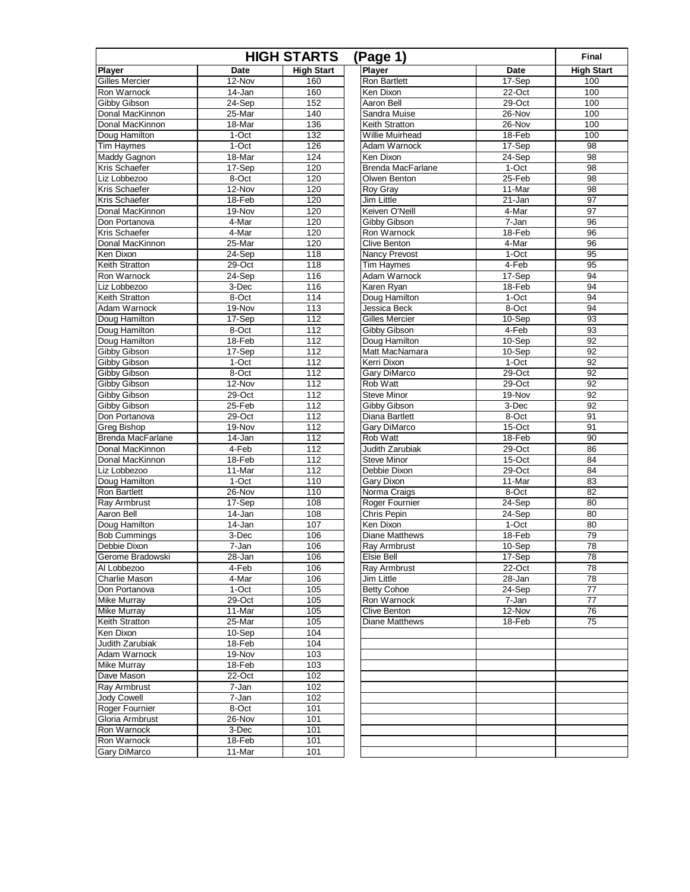| <b>HIGH STARTS</b><br>(Page 1)       |                 |                   |                                |                 |                   |
|--------------------------------------|-----------------|-------------------|--------------------------------|-----------------|-------------------|
| Player                               | Date            | <b>High Start</b> | Player                         | <b>Date</b>     | <b>High Start</b> |
| <b>Gilles Mercier</b>                | 12-Nov          | 160               | <b>Ron Bartlett</b>            | 17-Sep          | 100               |
| Ron Warnock                          | $14 - Jan$      | 160               | Ken Dixon                      | $22-Oct$        | 100               |
| Gibby Gibson                         | 24-Sep          | 152               | Aaron Bell                     | 29-Oct          | 100               |
| Donal MacKinnon                      | $25 - Mar$      | 140               | Sandra Muise                   | 26-Nov          | 100               |
| Donal MacKinnon                      | 18-Mar          | 136               | Keith Stratton                 | 26-Nov          | 100               |
| Doug Hamilton                        | 1-Oct           | 132               | Willie Muirhead                | 18-Feb          | 100               |
| <b>Tim Haymes</b>                    | $1-Oct$         | 126               | Adam Warnock                   | 17-Sep          | 98                |
| Maddy Gagnon                         | 18-Mar          | 124               | Ken Dixon                      | 24-Sep          | 98                |
| Kris Schaefer                        | 17-Sep          | 120               | <b>Brenda MacFarlane</b>       | $1-Oct$         | 98                |
| Liz Lobbezoo                         | 8-Oct           | 120               | Olwen Benton                   | $25 - Feb$      | 98                |
| Kris Schaefer                        | 12-Nov          | 120               | Roy Gray                       | 11-Mar          | 98                |
| Kris Schaefer                        | 18-Feb          | 120               | <b>Jim Little</b>              | $21 - Jan$      | 97                |
| Donal MacKinnon                      | 19-Nov          | 120               | Keiven O'Neill                 | 4-Mar           | 97                |
| Don Portanova                        | 4-Mar           | 120               | <b>Gibby Gibson</b>            | 7-Jan           | 96                |
| Kris Schaefer                        | 4-Mar           | 120               | Ron Warnock                    | 18-Feb          | 96                |
| Donal MacKinnon                      | 25-Mar          | 120               | <b>Clive Benton</b>            | 4-Mar           | 96                |
| Ken Dixon                            | 24-Sep          | 118               | <b>Nancy Prevost</b>           | $1-Oct$         | 95                |
| Keith Stratton                       | 29-Oct          | 118               | Tim Haymes<br>Adam Warnock     | 4-Feb           | 95                |
| Ron Warnock                          | $24-Sep$        | 116               |                                | 17-Sep          | 94                |
| Liz Lobbezoo                         | 3-Dec           | 116               | Karen Ryan                     | 18-Feb          | 94                |
| Keith Stratton<br>Adam Warnock       | 8-Oct<br>19-Nov | 114               | Doug Hamilton<br>Jessica Beck  | 1-Oct<br>8-Oct  | 94<br>94          |
|                                      |                 | 113<br>112        |                                |                 | 93                |
| Doug Hamilton<br>Doug Hamilton       | 17-Sep<br>8-Oct | 112               | Gilles Mercier<br>Gibby Gibson | 10-Sep<br>4-Feb | 93                |
| Doug Hamilton                        | 18-Feb          | 112               | Doug Hamilton                  | $10-Sep$        | 92                |
| Gibby Gibson                         | 17-Sep          | 112               | Matt MacNamara                 | 10-Sep          | 92                |
| <b>Gibby Gibson</b>                  | $1-Oct$         | 112               | Kerri Dixon                    | $1-Oct$         | 92                |
| Gibby Gibson                         | 8-Oct           | 112               | Gary DiMarco                   | 29-Oct          | 92                |
| Gibby Gibson                         | 12-Nov          | 112               | Rob Watt                       | $29-Oct$        | 92                |
| Gibby Gibson                         | 29-Oct          | 112               | <b>Steve Minor</b>             | 19-Nov          | 92                |
| Gibby Gibson                         | $25 - Feb$      | 112               | Gibby Gibson                   | 3-Dec           | 92                |
| Don Portanova                        | 29-Oct          | 112               | Diana Bartlett                 | 8-Oct           | 91                |
| Greg Bishop                          | 19-Nov          | 112               | Gary DiMarco                   | 15-Oct          | 91                |
| <b>Brenda MacFarlane</b>             | 14-Jan          | 112               | <b>Rob Watt</b>                | 18-Feb          | 90                |
| Donal MacKinnon                      | $4-Feb$         | 112               | <b>Judith Zarubiak</b>         | $29-Oct$        | 86                |
| Donal MacKinnon                      | 18-Feb          | 112               | <b>Steve Minor</b>             | 15-Oct          | 84                |
| Liz Lobbezoo                         | 11-Mar          | 112               | Debbie Dixon                   | $29-Oct$        | 84                |
| Doug Hamilton                        | 1-Oct           | 110               | Gary Dixon                     | 11-Mar          | 83                |
| <b>Ron Bartlett</b>                  | 26-Nov          | 110               | Norma Craigs                   | 8-Oct           | 82                |
| <b>Rav Armbrust</b>                  | 17-Sep          | 108               | Roger Fournier                 | $24-$ Sep       | 80                |
| Aaron Bell                           | 14-Jan          | 108               | Chris Pepin                    | 24-Sep          | 80                |
| Doug Hamilton                        | $14 - Jan$      | 107               | Ken Dixon                      | $1-Oct$         | 80                |
| <b>Bob Cummings</b>                  | 3-Dec           | 106               | <b>Diane Matthews</b>          | 18-Feb          | 79                |
| Debbie Dixon                         | 7-Jan           | 106               | Ray Armbrust                   | 10-Sep          | 78                |
| Gerome Bradowski                     | 28-Jan          | 106               | Elsie Bell                     | 17-Sep          | 78                |
| Al Lobbezoo                          | 4-Feb           | 106               | Ray Armbrust                   | $22-Oct$        | 78                |
| Charlie Mason                        | 4-Mar           | 106               | Jim Little                     | 28-Jan          | 78                |
| Don Portanova                        | 1-Oct           | 105               | <b>Betty Cohoe</b>             | 24-Sep          | 77                |
| <b>Mike Murray</b>                   | $29-Oct$        | 105               | Ron Warnock                    | 7-Jan           | $\overline{77}$   |
| <b>Mike Murrav</b>                   | 11-Mar          | 105               | Clive Benton                   | 12-Nov          | 76                |
| Keith Stratton                       | 25-Mar          | 105               | Diane Matthews                 | 18-Feb          | 75                |
| Ken Dixon                            | 10-Sep          | 104               |                                |                 |                   |
| Judith Zarubiak                      | 18-Feb          | 104               |                                |                 |                   |
| Adam Warnock                         | $19-Nov$        | 103               |                                |                 |                   |
| <b>Mike Murray</b>                   | 18-Feb          | 103               |                                |                 |                   |
| Dave Mason                           | $22-Oct$        | 102               |                                |                 |                   |
| Ray Armbrust                         | 7-Jan           | 102               |                                |                 |                   |
| <b>Jody Cowell</b><br>Roger Fournier | 7-Jan<br>8-Oct  | 102<br>101        |                                |                 |                   |
| Gloria Armbrust                      | 26-Nov          | 101               |                                |                 |                   |
| Ron Warnock                          | 3-Dec           | 101               |                                |                 |                   |
| Ron Warnock                          | $18-Feb$        | 101               |                                |                 |                   |
| Gary DiMarco                         | 11-Mar          | 101               |                                |                 |                   |
|                                      |                 |                   |                                |                 |                   |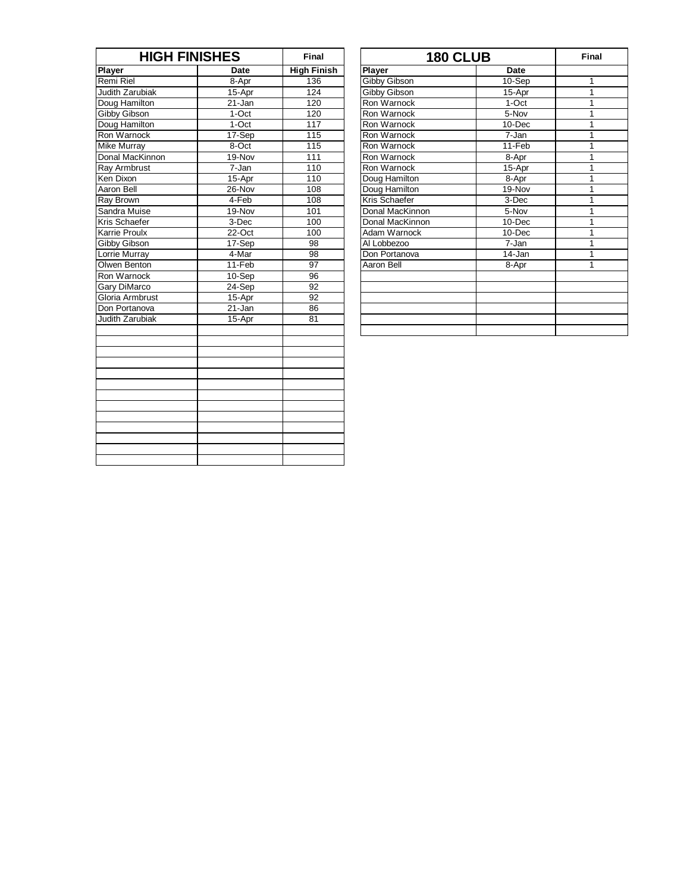| <b>HIGH FINISHES</b> |             | Final              | <b>180 CLUB</b> | Fin         |              |
|----------------------|-------------|--------------------|-----------------|-------------|--------------|
| <b>Player</b>        | <b>Date</b> | <b>High Finish</b> | <b>Player</b>   | <b>Date</b> |              |
| Remi Riel            | 8-Apr       | 136                | Gibby Gibson    | 10-Sep      | 1            |
| Judith Zarubiak      | 15-Apr      | 124                | Gibby Gibson    | 15-Apr      | $\mathbf{1}$ |
| Doug Hamilton        | 21-Jan      | 120                | Ron Warnock     | 1-Oct       | 1            |
| Gibby Gibson         | 1-Oct       | 120                | Ron Warnock     | 5-Nov       | 1            |
| Doug Hamilton        | $1-Oct$     | 117                | Ron Warnock     | $10 - Dec$  | $\mathbf{1}$ |
| Ron Warnock          | 17-Sep      | 115                | Ron Warnock     | 7-Jan       | 1            |
| <b>Mike Murray</b>   | $8-Oct$     | 115                | Ron Warnock     | $11-Feb$    | 1            |
| Donal MacKinnon      | 19-Nov      | 111                | Ron Warnock     | 8-Apr       | 1            |
| Ray Armbrust         | 7-Jan       | 110                | Ron Warnock     | 15-Apr      | $\mathbf{1}$ |
| Ken Dixon            | 15-Apr      | 110                | Doug Hamilton   | 8-Apr       | 1            |
| Aaron Bell           | 26-Nov      | 108                | Doug Hamilton   | 19-Nov      | 1            |
| Ray Brown            | 4-Feb       | 108                | Kris Schaefer   | 3-Dec       | 1            |
| Sandra Muise         | 19-Nov      | 101                | Donal MacKinnon | 5-Nov       | 1            |
| Kris Schaefer        | 3-Dec       | 100                | Donal MacKinnon | 10-Dec      | 1            |
| Karrie Proulx        | 22-Oct      | 100                | Adam Warnock    | $10 - Dec$  | $\mathbf{1}$ |
| Gibby Gibson         | 17-Sep      | 98                 | Al Lobbezoo     | 7-Jan       | 1            |
| Lorrie Murrav        | 4-Mar       | $\overline{98}$    | Don Portanova   | 14-Jan      | 1            |
| Olwen Benton         | 11-Feb      | 97                 | Aaron Bell      | 8-Apr       | 1            |
| Ron Warnock          | $10-Sep$    | $\overline{96}$    |                 |             |              |
| <b>Gary DiMarco</b>  | 24-Sep      | $\overline{92}$    |                 |             |              |
| Gloria Armbrust      | 15-Apr      | $\overline{92}$    |                 |             |              |
| Don Portanova        | $21 - Jan$  | 86                 |                 |             |              |
| Judith Zarubiak      | 15-Apr      | 81                 |                 |             |              |
|                      |             |                    |                 |             |              |
|                      |             |                    |                 |             |              |
|                      |             |                    |                 |             |              |
|                      |             |                    |                 |             |              |

| <b>HIGH FINISHES</b>    |         | Final              | <b>180 CLUB</b> |             | Final |
|-------------------------|---------|--------------------|-----------------|-------------|-------|
|                         | Date    | <b>High Finish</b> | <b>Player</b>   | <b>Date</b> |       |
|                         | 8-Apr   | 136                | Gibby Gibson    | 10-Sep      |       |
| ıbiak                   | 15-Apr  | 124                | Gibby Gibson    | 15-Apr      |       |
| ilton                   | 21-Jan  | 120                | Ron Warnock     | 1-Oct       |       |
| on                      | $1-Oct$ | 120                | Ron Warnock     | $5-Nov$     |       |
| ilton                   | 1-Oct   | 117                | Ron Warnock     | 10-Dec      |       |
| оcк                     | 17-Sep  | 115                | Ron Warnock     | 7-Jan       |       |
| ìУ                      | 8-Oct   | 115                | Ron Warnock     | 11-Feb      |       |
| Kinnon                  | 19-Nov  | 111                | Ron Warnock     | 8-Apr       |       |
| ust                     | 7-Jan   | 110                | Ron Warnock     | 15-Apr      |       |
|                         | 15-Apr  | 110                | Doug Hamilton   | 8-Apr       |       |
|                         | 26-Nov  | 108                | Doug Hamilton   | 19-Nov      |       |
|                         | $4-Feb$ | 108                | Kris Schaefer   | 3-Dec       |       |
| ise                     | 19-Nov  | 101                | Donal MacKinnon | 5-Nov       |       |
| fer                     | 3-Dec   | 100                | Donal MacKinnon | $10 - Dec$  |       |
| ΙX                      | 22-Oct  | 100                | Adam Warnock    | $10 - Dec$  |       |
| on                      | 17-Sep  | 98                 | Al Lobbezoo     | 7-Jan       |       |
| ay                      | 4-Mar   | 98                 | Don Portanova   | 14-Jan      |       |
| ton                     | 11-Feb  | 97                 | Aaron Bell      | 8-Apr       |       |
| $\overline{\text{c}}$ k | 10-Sep  | 96                 |                 |             |       |
| rco                     | 24-Sep  | 92                 |                 |             |       |
| brust                   | 15-Apr  | 92                 |                 |             |       |
| iova                    | 21-Jan  | 86                 |                 |             |       |
| ıbiak                   | 15-Apr  | 81                 |                 |             |       |
|                         |         |                    |                 |             |       |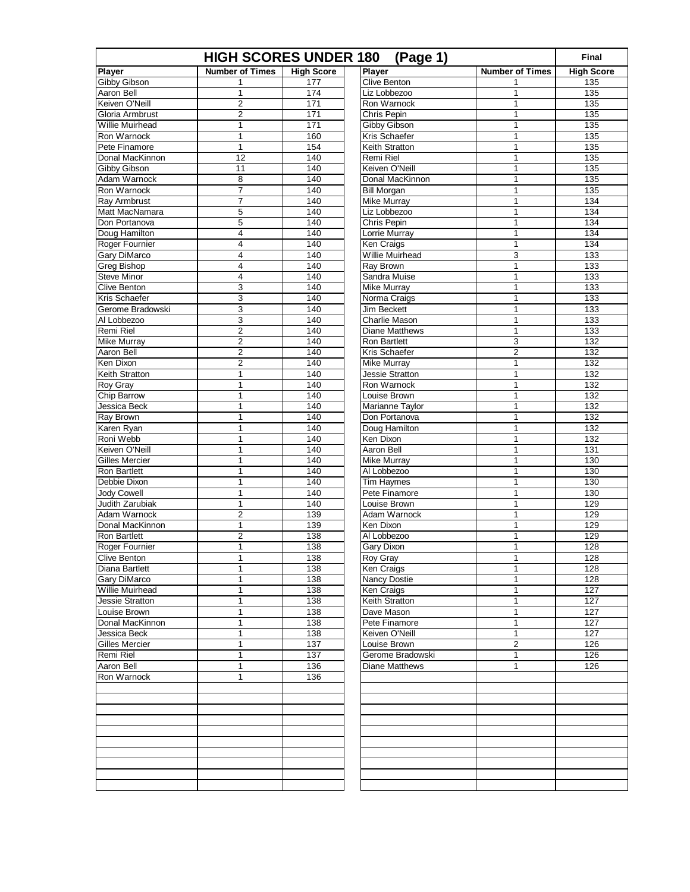| <b>HIGH SCORES UNDER 180</b><br>(Page 1) |                         |                   |                              |                        |                   |
|------------------------------------------|-------------------------|-------------------|------------------------------|------------------------|-------------------|
| Player                                   | <b>Number of Times</b>  | <b>High Score</b> | Player                       | <b>Number of Times</b> | <b>High Score</b> |
| <b>Gibby Gibson</b>                      | 1                       | 177               | <b>Clive Benton</b>          | 1                      | 135               |
| Aaron Bell                               | 1                       | 174               | Liz Lobbezoo                 | 1                      | 135               |
| Keiven O'Neill                           | $\overline{2}$          | 171               | Ron Warnock                  | 1                      | 135               |
| Gloria Armbrust                          | $\overline{2}$          | 171               | Chris Pepin                  | 1                      | 135               |
| Willie Muirhead                          | $\mathbf{1}$            | 171               | <b>Gibby Gibson</b>          | 1                      | 135               |
| Ron Warnock                              | $\mathbf{1}$            | 160               | Kris Schaefer                | 1                      | 135               |
| Pete Finamore                            | $\mathbf 1$             | 154               | Keith Stratton               | 1                      | 135               |
| Donal MacKinnon                          | 12                      | 140               | Remi Riel                    | 1                      | 135               |
| <b>Gibby Gibson</b>                      | 11                      | 140               | Keiven O'Neill               | 1                      | 135               |
| Adam Warnock                             | 8                       | 140               | Donal MacKinnon              | 1                      | 135               |
| Ron Warnock                              | $\overline{7}$          | 140               | <b>Bill Morgan</b>           | 1                      | 135               |
| <b>Ray Armbrust</b>                      | 7                       | 140               | <b>Mike Murray</b>           | 1                      | 134               |
| Matt MacNamara                           | 5                       | 140               | Liz Lobbezoo                 | 1                      | 134               |
| Don Portanova                            | 5                       | 140               | Chris Pepin                  | 1                      | 134               |
| Doug Hamilton                            | 4                       | 140               | Lorrie Murray                | 1                      | 134               |
| Roger Fournier                           | 4                       | 140               | Ken Craigs                   | 1                      | 134               |
| Gary DiMarco                             | 4                       | 140               | Willie Muirhead              | 3                      | 133               |
| <b>Greg Bishop</b>                       | $\overline{4}$          | 140               | Ray Brown                    | $\mathbf{1}$           | 133               |
| <b>Steve Minor</b>                       | 4                       | 140               | Sandra Muise                 | 1                      | 133               |
| Clive Benton                             | 3                       | 140               | Mike Murray                  | 1                      | 133               |
| Kris Schaefer                            | 3                       | 140               | Norma Craigs                 | 1                      | 133               |
| Gerome Bradowski                         | 3                       | 140               | <b>Jim Beckett</b>           | 1                      | 133               |
| Al Lobbezoo                              | 3                       | 140               | Charlie Mason                | 1                      | 133               |
| Remi Riel                                | $\overline{2}$          | 140               | <b>Diane Matthews</b>        | 1                      | 133               |
| <b>Mike Murray</b>                       | $\overline{2}$          | 140               | <b>Ron Bartlett</b>          | 3                      | 132               |
| Aaron Bell                               | $\overline{2}$          | 140               | Kris Schaefer                | $\overline{c}$         | 132               |
| Ken Dixon                                | $\overline{\mathbf{c}}$ | 140               | <b>Mike Murray</b>           | 1                      | 132               |
| Keith Stratton                           | 1                       | 140               | Jessie Stratton              | 1                      | 132               |
| Roy Gray                                 | 1                       | 140               | Ron Warnock                  | 1                      | 132               |
| Chip Barrow                              | $\mathbf 1$             | 140               | Louise Brown                 | 1                      | 132               |
| Jessica Beck                             | 1                       | 140               | Marianne Taylor              | 1                      | 132               |
| Ray Brown                                | 1                       | 140               | Don Portanova                | 1                      | 132               |
| Karen Ryan                               | 1                       | 140               | Doug Hamilton                | 1                      | 132               |
| Roni Webb                                | 1                       | 140               | Ken Dixon                    | 1                      | 132               |
| Keiven O'Neill                           | $\mathbf 1$             | 140               | Aaron Bell                   | 1                      | 131               |
| <b>Gilles Mercier</b>                    | 1                       | 140               | Mike Murray                  | 1                      | 130               |
| <b>Ron Bartlett</b>                      | 1                       | 140               | Al Lobbezoo                  | 1                      | 130               |
| Debbie Dixon                             | 1                       | 140               | Tim Haymes<br>Pete Finamore  | 1<br>1                 | 130               |
| Jody Cowell<br><b>Judith Zarubiak</b>    | 1<br>$\mathbf 1$        | 140<br>140        |                              | 1                      | 130<br>129        |
| Adam Warnock                             | $\overline{2}$          | 139               | Louise Brown<br>Adam Warnock | 1                      | 129               |
| Donal MacKinnon                          | 1                       | 139               | Ken Dixon                    | 1                      | 129               |
| <b>Ron Bartlett</b>                      | $\overline{2}$          | 138               | Al Lobbezoo                  | 1                      | 129               |
|                                          | 1                       | 138               |                              | 1                      | 128               |
| Roger Fournier                           | 1                       | 138               | Gary Dixon                   |                        | 128               |
| Clive Benton<br>Diana Bartlett           | 1                       | 138               | Roy Gray                     | 1<br>1                 | 128               |
| Gary DiMarco                             | 1                       | 138               | Ken Craigs<br>Nancy Dostie   | 1                      | 128               |
| Willie Muirhead                          | 1                       | 138               | Ken Craigs                   | 1                      | 127               |
| Jessie Stratton                          | 1                       | 138               | Keith Stratton               | 1                      | 127               |
| Louise Brown                             | 1                       | 138               | Dave Mason                   | 1                      | 127               |
| Donal MacKinnon                          | 1                       | 138               | Pete Finamore                | 1                      | 127               |
| Jessica Beck                             | 1                       | 138               | Keiven O'Neill               | 1                      | 127               |
| Gilles Mercier                           | 1                       | 137               | Louise Brown                 | 2                      | 126               |
| Remi Riel                                | 1                       | 137               | Gerome Bradowski             | 1                      | 126               |
| Aaron Bell                               | 1                       | 136               | Diane Matthews               | 1                      | 126               |
| Ron Warnock                              | 1                       | 136               |                              |                        |                   |
|                                          |                         |                   |                              |                        |                   |
|                                          |                         |                   |                              |                        |                   |
|                                          |                         |                   |                              |                        |                   |
|                                          |                         |                   |                              |                        |                   |
|                                          |                         |                   |                              |                        |                   |
|                                          |                         |                   |                              |                        |                   |
|                                          |                         |                   |                              |                        |                   |
|                                          |                         |                   |                              |                        |                   |
|                                          |                         |                   |                              |                        |                   |
|                                          |                         |                   |                              |                        |                   |
|                                          |                         |                   |                              |                        |                   |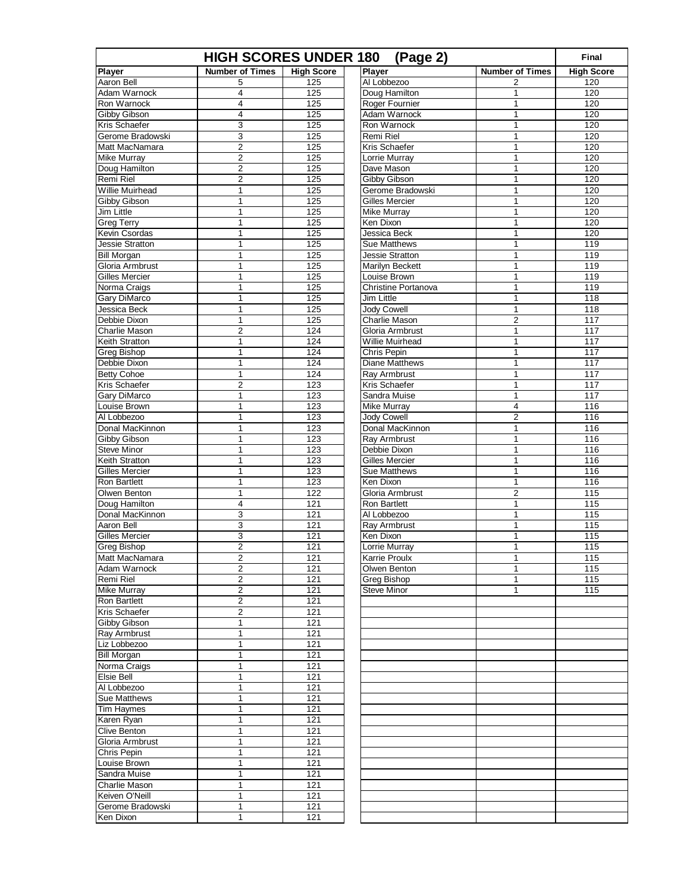| <b>HIGH SCORES UNDER 180</b><br>(Page 2)<br><b>Final</b> |                        |                   |                        |                        |                   |  |
|----------------------------------------------------------|------------------------|-------------------|------------------------|------------------------|-------------------|--|
| <b>Player</b>                                            | <b>Number of Times</b> | <b>High Score</b> | <b>Player</b>          | <b>Number of Times</b> | <b>High Score</b> |  |
| Aaron Bell                                               | 5                      | 125               | Al Lobbezoo            | 2                      | 120               |  |
| Adam Warnock                                             | 4                      | 125               | Doug Hamilton          | 1                      | 120               |  |
| Ron Warnock                                              | 4                      | 125               | Roger Fournier         | 1                      | 120               |  |
| Gibby Gibson                                             | $\overline{4}$         | 125               | Adam Warnock           | $\mathbf{1}$           | 120               |  |
| Kris Schaefer                                            | 3                      | 125               | Ron Warnock            | 1                      | 120               |  |
| Gerome Bradowski                                         | 3                      | 125               | Remi Riel              | $\mathbf{1}$           | 120               |  |
| Matt MacNamara                                           | $\overline{2}$         | 125               | Kris Schaefer          | 1                      | 120               |  |
| <b>Mike Murray</b>                                       | $\mathbf 2$            | 125               | Lorrie Murray          | 1                      | 120               |  |
| Doug Hamilton                                            | $\overline{2}$         | 125               | Dave Mason             | 1                      | 120               |  |
| Remi Riel                                                | 2                      | 125               | Gibby Gibson           | 1                      | 120               |  |
| <b>Willie Muirhead</b>                                   | $\mathbf 1$            | 125               | Gerome Bradowski       | $\mathbf{1}$           | 120               |  |
| Gibby Gibson                                             | 1                      | 125               | Gilles Mercier         | $\mathbf{1}$           | 120               |  |
| Jim Little                                               | $\mathbf 1$            | 125               | Mike Murray            | 1                      | 120               |  |
| <b>Greg Terry</b>                                        | 1                      | 125               | Ken Dixon              | 1                      | 120               |  |
| Kevin Csordas                                            | 1                      | 125               | Jessica Beck           | 1                      | 120               |  |
| Jessie Stratton                                          | $\mathbf{1}$           | 125               | <b>Sue Matthews</b>    | $\mathbf{1}$           | 119               |  |
| <b>Bill Morgan</b>                                       | 1                      | 125               | <b>Jessie Stratton</b> | 1                      | 119               |  |
| Gloria Armbrust                                          | $\mathbf 1$            | 125               | Marilyn Beckett        | 1                      | 119               |  |
| <b>Gilles Mercier</b>                                    | 1                      | 125               | Louise Brown           | 1                      | 119               |  |
| Norma Craigs                                             | 1                      | 125               | Christine Portanova    | 1                      | 119               |  |
| <b>Gary DiMarco</b>                                      | $\mathbf 1$            | 125               | Jim Little             | $\mathbf{1}$           | 118               |  |
| Jessica Beck                                             | 1                      | 125               | <b>Jody Cowell</b>     | $\mathbf{1}$           | 118               |  |
| Debbie Dixon                                             | $\mathbf 1$            | 125               | <b>Charlie Mason</b>   | 2                      | 117               |  |
| <b>Charlie Mason</b>                                     | $\overline{2}$         | 124               | Gloria Armbrust        | $\mathbf{1}$           | 117               |  |
| Keith Stratton                                           | 1                      | 124               | Willie Muirhead        | 1                      | 117               |  |
| <b>Greg Bishop</b>                                       | $\mathbf{1}$           | 124               | Chris Pepin            | $\mathbf{1}$           | 117               |  |
| Debbie Dixon                                             | $\mathbf{1}$           | 124               | Diane Matthews         | 1                      | 117               |  |
| <b>Betty Cohoe</b>                                       | $\mathbf 1$            | 124               | Ray Armbrust           | 1                      | 117               |  |
| Kris Schaefer                                            | $\overline{2}$         | 123               | Kris Schaefer          | 1                      | 117               |  |
| <b>Gary DiMarco</b>                                      | 1                      | 123               | Sandra Muise           | 1                      | 117               |  |
| Louise Brown                                             | $\mathbf 1$            | 123               | <b>Mike Murray</b>     | 4                      | 116               |  |
| Al Lobbezoo                                              | 1                      | 123               | <b>Jody Cowell</b>     | 2                      | 116               |  |
| Donal MacKinnon                                          | $\mathbf 1$            | 123               | Donal MacKinnon        | 1                      | 116               |  |
| Gibby Gibson                                             | 1                      | 123               | Ray Armbrust           | 1                      | 116               |  |
| <b>Steve Minor</b>                                       | 1                      | 123               | Debbie Dixon           | 1                      | 116               |  |
| Keith Stratton                                           | 1                      | 123               | <b>Gilles Mercier</b>  | 1                      | 116               |  |
| <b>Gilles Mercier</b>                                    | 1                      | 123               | <b>Sue Matthews</b>    | 1                      | 116               |  |
| <b>Ron Bartlett</b>                                      | $\mathbf 1$            | 123               | Ken Dixon              | 1                      | 116               |  |
| Olwen Benton                                             | $\mathbf{1}$           | 122               | Gloria Armbrust        | 2                      | 115               |  |
| Doug Hamilton                                            | 4                      | 121               | Ron Bartlett           | 1                      | 115               |  |
| Donal MacKinnon                                          | 3                      | 121               | Al Lobbezoo            | $\mathbf{1}$           | 115               |  |
| Aaron Bell                                               | 3                      | 121               | <b>Rav Armbrust</b>    | 1                      | 115               |  |
| <b>Gilles Mercier</b>                                    | 3                      | 121               | Ken Dixon              | 1                      | 115               |  |
| <b>Greg Bishop</b>                                       | $\overline{2}$         | 121               | Lorrie Murray          | $\mathbf{1}$           | 115               |  |
| Matt MacNamara                                           | $\overline{z}$         | 121               | Karrie Proulx          | 1                      | 115               |  |
| Adam Warnock                                             | $\overline{2}$         | 121               | Olwen Benton           | 1                      | 115               |  |
| Remi Riel                                                | 2                      | 121               | Greg Bishop            | 1                      | 115               |  |
| <b>Mike Murray</b>                                       | 2                      | 121               | <b>Steve Minor</b>     | 1                      | 115               |  |
| Ron Bartlett                                             | 2                      | 121               |                        |                        |                   |  |
| Kris Schaefer                                            | 2                      | 121               |                        |                        |                   |  |
| Gibby Gibson                                             | $\mathbf{1}$           | 121               |                        |                        |                   |  |
| <b>Ray Armbrust</b>                                      | 1                      | 121               |                        |                        |                   |  |
| Liz Lobbezoo                                             | 1                      | 121               |                        |                        |                   |  |
| <b>Bill Morgan</b>                                       | $\mathbf 1$            | 121               |                        |                        |                   |  |
|                                                          | 1                      | 121               |                        |                        |                   |  |
| Norma Craigs<br>Elsie Bell                               | $\mathbf{1}$           | 121               |                        |                        |                   |  |
|                                                          |                        |                   |                        |                        |                   |  |
| Al Lobbezoo                                              | 1                      | 121               |                        |                        |                   |  |
| Sue Matthews                                             | $\mathbf 1$            | 121               |                        |                        |                   |  |
| <b>Tim Haymes</b>                                        | 1                      | 121               |                        |                        |                   |  |
| Karen Ryan                                               | 1                      | 121               |                        |                        |                   |  |
| <b>Clive Benton</b>                                      | $\mathbf{1}$           | 121               |                        |                        |                   |  |
| Gloria Armbrust                                          | 1                      | 121               |                        |                        |                   |  |
| Chris Pepin                                              | 1                      | 121               |                        |                        |                   |  |
| Louise Brown                                             | $\mathbf 1$            | 121               |                        |                        |                   |  |
| Sandra Muise                                             | 1                      | 121               |                        |                        |                   |  |
| Charlie Mason                                            | $\mathbf{1}$           | 121               |                        |                        |                   |  |
| Keiven O'Neill                                           | 1                      | 121               |                        |                        |                   |  |
| Gerome Bradowski                                         | 1                      | 121               |                        |                        |                   |  |
| Ken Dixon                                                | 1                      | 121               |                        |                        |                   |  |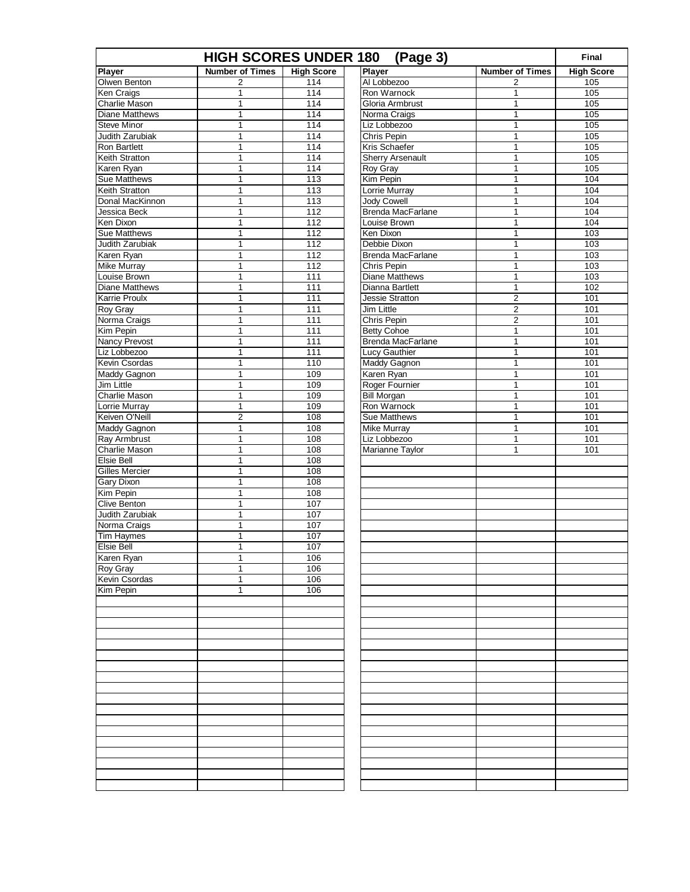|                                       | <b>HIGH SCORES UNDER 180</b> |                   | (Page 3)                             |                                  | Final             |
|---------------------------------------|------------------------------|-------------------|--------------------------------------|----------------------------------|-------------------|
| Player                                | <b>Number of Times</b>       | <b>High Score</b> | <b>Player</b>                        | <b>Number of Times</b>           | <b>High Score</b> |
| Olwen Benton                          | 2                            | 114               | Al Lobbezoo                          | 2                                | 105               |
| Ken Craigs                            | 1                            | 114               | Ron Warnock                          | 1                                | 105               |
| Charlie Mason                         | 1                            | 114               | Gloria Armbrust                      | $\mathbf{1}$                     | $\frac{105}{2}$   |
| <b>Diane Matthews</b>                 | 1                            | 114               | Norma Craigs                         | 1                                | 105               |
| <b>Steve Minor</b>                    | 1                            | 114               | Liz Lobbezoo                         | 1                                | 105               |
| Judith Zarubiak                       | 1                            | 114               | Chris Pepin                          | $\mathbf{1}$                     | 105               |
| <b>Ron Bartlett</b>                   | 1                            | 114               | Kris Schaefer                        | 1                                | 105               |
| Keith Stratton                        | 1                            | 114               | Sherry Arsenault                     | $\mathbf{1}$                     | $\frac{105}{2}$   |
| Karen Ryan                            | 1                            | 114               | <b>Roy Gray</b>                      | 1                                | 105               |
| Sue Matthews                          | $\mathbf 1$                  | 113               | Kim Pepin                            | 1                                | 104               |
| Keith Stratton                        | 1                            | 113               | Lorrie Murray                        | 1                                | 104               |
| Donal MacKinnon                       | 1                            | 113               | <b>Jody Cowell</b>                   | 1                                | 104               |
| Jessica Beck                          | 1                            | $\overline{112}$  | <b>Brenda MacFarlane</b>             | $\mathbf{1}$                     | 104               |
| Ken Dixon                             | 1                            | 112               | Louise Brown                         | 1                                | 104               |
| <b>Sue Matthews</b>                   | $\mathbf 1$                  | 112               | Ken Dixon                            | 1                                | 103               |
| Judith Zarubiak                       | 1                            | 112               | Debbie Dixon                         | 1                                | 103               |
| Karen Ryan                            | 1                            | 112               | <b>Brenda MacFarlane</b>             | 1                                | 103               |
| Mike Murray                           | 1                            | $\overline{112}$  | Chris Pepin                          | $\mathbf{1}$                     | 103               |
| Louise Brown<br><b>Diane Matthews</b> | 1                            | 111               | <b>Diane Matthews</b>                | 1                                | 103               |
|                                       | $\mathbf 1$                  | 111               | Dianna Bartlett                      | 1                                | 102               |
| Karrie Proulx<br><b>Roy Gray</b>      | $\mathbf 1$                  | 111<br>111        | Jessie Stratton<br><b>Jim Little</b> | $\mathbf 2$                      | 101<br>101        |
|                                       | 1                            | $\frac{111}{111}$ |                                      | $\overline{c}$<br>$\overline{2}$ | 101               |
| Norma Craigs<br>Kim Pepin             | 1<br>1                       | 111               | Chris Pepin<br><b>Betty Cohoe</b>    | 1                                | 101               |
| <b>Nancy Prevost</b>                  | $\mathbf 1$                  | 111               | <b>Brenda MacFarlane</b>             | 1                                | 101               |
| Liz Lobbezoo                          | $\mathbf 1$                  | 111               | Lucy Gauthier                        | 1                                | 101               |
| Kevin Csordas                         | 1                            | 110               | <b>Maddy Gagnon</b>                  | 1                                | 101               |
| Maddy Gagnon                          | 1                            | 109               | Karen Ryan                           | $\mathbf{1}$                     | 101               |
| <b>Jim Little</b>                     | 1                            | 109               | Roger Fournier                       | 1                                | 101               |
| <b>Charlie Mason</b>                  | 1                            | 109               | <b>Bill Morgan</b>                   | 1                                | 101               |
| Lorrie Murray                         | $\mathbf 1$                  | 109               | Ron Warnock                          | 1                                | 101               |
| Keiven O'Neill                        | $\overline{2}$               | 108               | <b>Sue Matthews</b>                  | 1                                | 101               |
| <b>Maddy Gagnon</b>                   | 1                            | 108               | Mike Murray                          | $\mathbf{1}$                     | 101               |
| <b>Ray Armbrust</b>                   | 1                            | 108               | Liz Lobbezoo                         | 1                                | 101               |
| Charlie Mason                         | 1                            | 108               | Marianne Taylor                      | 1                                | 101               |
| Elsie Bell                            | $\mathbf{1}$                 | 108               |                                      |                                  |                   |
| <b>Gilles Mercier</b>                 | 1                            | 108               |                                      |                                  |                   |
| Gary Dixon                            | 1                            | 108               |                                      |                                  |                   |
| Kim Pepin                             | 1                            | 108               |                                      |                                  |                   |
| <b>Clive Benton</b>                   | 1                            | 107               |                                      |                                  |                   |
| Judith Zarubiak                       | $\mathbf{1}$                 | 107               |                                      |                                  |                   |
| Norma Craigs                          | 1                            | 107               |                                      |                                  |                   |
| <b>Tim Haymes</b>                     | 1                            | 107               |                                      |                                  |                   |
| <b>Elsie Bell</b>                     | 1                            | 107               |                                      |                                  |                   |
| Karen Ryan                            | 1                            | 106               |                                      |                                  |                   |
| <b>Roy Gray</b>                       | 1                            | 106               |                                      |                                  |                   |
| Kevin Csordas                         | 1                            | 106               |                                      |                                  |                   |
| Kim Pepin                             | 1                            | 106               |                                      |                                  |                   |
|                                       |                              |                   |                                      |                                  |                   |
|                                       |                              |                   |                                      |                                  |                   |
|                                       |                              |                   |                                      |                                  |                   |
|                                       |                              |                   |                                      |                                  |                   |
|                                       |                              |                   |                                      |                                  |                   |
|                                       |                              |                   |                                      |                                  |                   |
|                                       |                              |                   |                                      |                                  |                   |
|                                       |                              |                   |                                      |                                  |                   |
|                                       |                              |                   |                                      |                                  |                   |
|                                       |                              |                   |                                      |                                  |                   |
|                                       |                              |                   |                                      |                                  |                   |
|                                       |                              |                   |                                      |                                  |                   |
|                                       |                              |                   |                                      |                                  |                   |
|                                       |                              |                   |                                      |                                  |                   |
|                                       |                              |                   |                                      |                                  |                   |
|                                       |                              |                   |                                      |                                  |                   |
|                                       |                              |                   |                                      |                                  |                   |
|                                       |                              |                   |                                      |                                  |                   |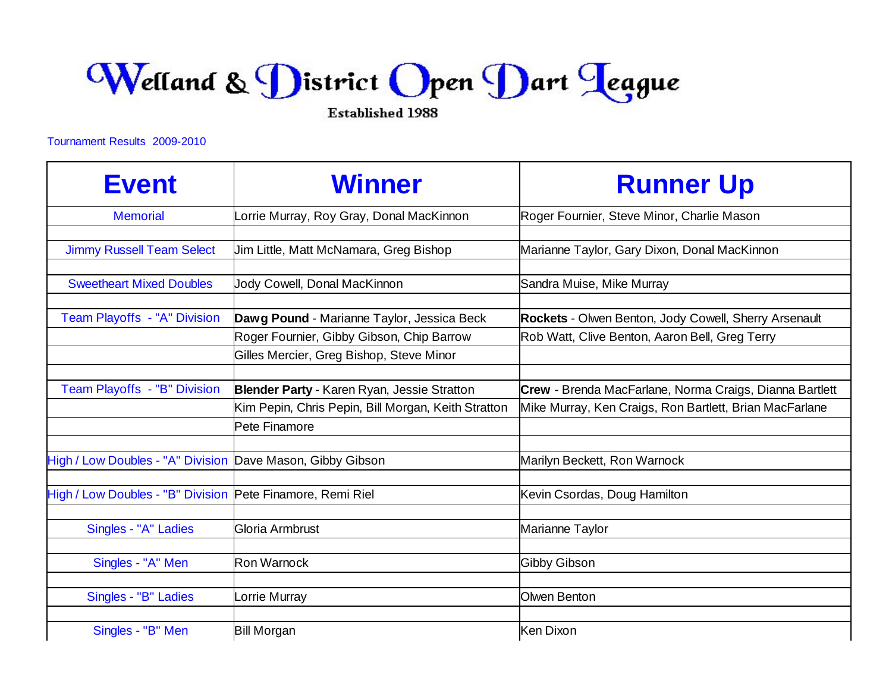Welland & District Open Dart Teague

**Established 1988** 

## Tournament Results 2009-2010

| <b>Event</b>                                               | <b>Winner</b>                                       | <b>Runner Up</b>                                        |
|------------------------------------------------------------|-----------------------------------------------------|---------------------------------------------------------|
| <b>Memorial</b>                                            | orrie Murray, Roy Gray, Donal MacKinnon             | Roger Fournier, Steve Minor, Charlie Mason              |
|                                                            |                                                     |                                                         |
| <b>Jimmy Russell Team Select</b>                           | Jim Little, Matt McNamara, Greg Bishop              | Marianne Taylor, Gary Dixon, Donal MacKinnon            |
|                                                            |                                                     |                                                         |
| <b>Sweetheart Mixed Doubles</b>                            | Jody Cowell, Donal MacKinnon                        | Sandra Muise, Mike Murray                               |
|                                                            |                                                     |                                                         |
| Team Playoffs - "A" Division                               | Dawg Pound - Marianne Taylor, Jessica Beck          | Rockets - Olwen Benton, Jody Cowell, Sherry Arsenault   |
|                                                            | Roger Fournier, Gibby Gibson, Chip Barrow           | Rob Watt, Clive Benton, Aaron Bell, Greg Terry          |
|                                                            | Gilles Mercier, Greg Bishop, Steve Minor            |                                                         |
|                                                            |                                                     |                                                         |
| Team Playoffs - "B" Division                               | Blender Party - Karen Ryan, Jessie Stratton         | Crew - Brenda MacFarlane, Norma Craigs, Dianna Bartlett |
|                                                            | Kim Pepin, Chris Pepin, Bill Morgan, Keith Stratton | Mike Murray, Ken Craigs, Ron Bartlett, Brian MacFarlane |
|                                                            | Pete Finamore                                       |                                                         |
|                                                            |                                                     |                                                         |
| High / Low Doubles - "A" Division Dave Mason, Gibby Gibson |                                                     | Marilyn Beckett, Ron Warnock                            |
|                                                            |                                                     |                                                         |
| High / Low Doubles - "B" Division                          | Pete Finamore, Remi Riel                            | Kevin Csordas, Doug Hamilton                            |
|                                                            |                                                     |                                                         |
| Singles - "A" Ladies                                       | Gloria Armbrust                                     | Marianne Taylor                                         |
|                                                            |                                                     |                                                         |
| Singles - "A" Men                                          | Ron Warnock                                         | <b>Gibby Gibson</b>                                     |
|                                                            |                                                     |                                                         |
| Singles - "B" Ladies                                       | _orrie Murray                                       | Olwen Benton                                            |
|                                                            |                                                     |                                                         |
| Singles - "B" Men                                          | <b>Bill Morgan</b>                                  | <b>Ken Dixon</b>                                        |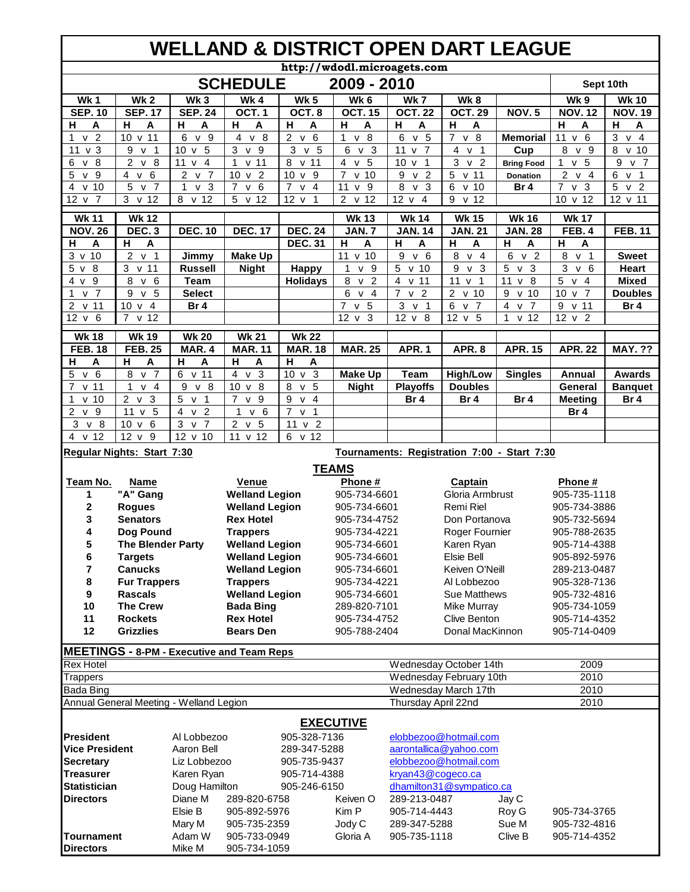## **WELLAND & DISTRICT OPEN DART LEAGUE**

|                                         |                                         |                                     |                                                  |                                   |                                   | http://wdodl.microagets.com     |                                             |                                     |                                   |                                  |
|-----------------------------------------|-----------------------------------------|-------------------------------------|--------------------------------------------------|-----------------------------------|-----------------------------------|---------------------------------|---------------------------------------------|-------------------------------------|-----------------------------------|----------------------------------|
|                                         |                                         |                                     | <b>SCHEDULE</b>                                  |                                   | 2009 - 2010                       |                                 |                                             |                                     |                                   | Sept 10th                        |
| Wk1                                     | Wk <sub>2</sub>                         | Wk <sub>3</sub>                     | Wk4                                              | <b>Wk 5</b>                       | Wk 6                              | Wk 7                            | Wk8                                         |                                     | Wk 9                              | <b>Wk 10</b>                     |
| <b>SEP. 10</b>                          | <b>SEP. 17</b>                          | <b>SEP. 24</b>                      | OCT.1                                            | OCT.8                             | <b>OCT. 15</b>                    | <b>OCT.22</b>                   | <b>OCT. 29</b>                              | <b>NOV.5</b>                        | <b>NOV. 12</b>                    | <b>NOV. 19</b>                   |
| н<br>A                                  | н<br>A                                  | н<br>Α                              | н<br>A                                           | н<br>A                            | н<br>Α                            | н<br>A                          | н<br>Α                                      |                                     | н<br>A                            | н<br>A                           |
| v <sub>2</sub><br>1                     | 10 v 11                                 | 6<br>v 9                            | v <sub>8</sub><br>4                              | 2 v<br>6                          | v <sub>8</sub><br>1               | 6<br>v <sub>5</sub>             | v 8<br>$\overline{7}$                       | <b>Memorial</b>                     | 11<br>v <sub>6</sub>              | 3<br>v <sub>4</sub>              |
| v <sub>3</sub><br>11                    | 9<br>v <sub>1</sub>                     | $10 \text{ v} 5$                    | 3<br>v <sub>9</sub>                              | v <sub>5</sub><br>3               | 6<br>v <sub>3</sub>               | v <sub>7</sub><br>11            | $\overline{4}$<br>v <sub>1</sub>            | Cup                                 | 8<br>v <sub>9</sub>               | 8 v 10                           |
| $\sqrt{8}$<br>6                         | $\overline{2}$<br>v <sub>8</sub>        | 11 <sub>v</sub><br>$\overline{4}$   | $\mathbf{1}$<br>$v$ 11                           | 8<br>v 11                         | $\overline{4}$ v<br>5             | $\mathbf{1}$<br>10 <sub>v</sub> | 3<br>v <sub>2</sub>                         | <b>Bring Food</b>                   | 5<br>1<br>$\mathsf{v}$            | 9<br>v <sub>7</sub>              |
| 5<br>v <sub>9</sub>                     | $\overline{4}$ v<br>6                   | 2 v 7                               | v <sub>2</sub><br>10                             | $10 \text{ v}$ 9                  | $\overline{7}$<br>v <sub>10</sub> | 9<br>$v\overline{2}$            | 5 v 11                                      | <b>Donation</b>                     | $2 \vee 4$                        | 6<br>v <sub>1</sub>              |
| v <sub>10</sub><br>4                    | 5<br>v <sub>7</sub>                     | 1<br>v <sub>3</sub>                 | $\overline{7}$<br>v <sub>6</sub>                 | $\overline{7}$<br>v <sub>4</sub>  | 11<br>9<br>$\mathsf{v}$           | 8<br>v <sub>3</sub>             | $6\overline{6}$<br>v <sub>10</sub>          | Br 4                                | $\overline{7}$<br>v <sub>3</sub>  | 5 <sup>5</sup><br>v <sub>2</sub> |
| $12 \times 7$                           | $3 \times 12$                           | 8 v 12                              | v <sub>12</sub><br>5                             | 12 <sub>v</sub><br>$\overline{1}$ | 2 v 12                            | $12 \times 4$                   | $9 \times 12$                               |                                     | 10 v 12                           | 12 v 11                          |
| <b>Wk 11</b>                            | <b>Wk 12</b>                            |                                     |                                                  |                                   | <b>Wk 13</b>                      | <b>Wk 14</b>                    | <b>Wk 15</b>                                | <b>Wk 16</b>                        | <b>Wk 17</b>                      |                                  |
| <b>NOV. 26</b>                          | <b>DEC. 3</b>                           | <b>DEC. 10</b>                      | <b>DEC. 17</b>                                   | <b>DEC. 24</b>                    | <b>JAN.7</b>                      | <b>JAN. 14</b>                  | <b>JAN. 21</b>                              | <b>JAN. 28</b>                      | <b>FEB. 4</b>                     | <b>FEB. 11</b>                   |
| A<br>н                                  | н<br>A                                  |                                     |                                                  | <b>DEC. 31</b>                    | н<br>A                            | н<br>A                          | н<br>A                                      | н<br>A                              | н<br>A                            |                                  |
| $3 \times 10$                           | 2<br>v <sub>1</sub>                     | Jimmy                               | <b>Make Up</b>                                   |                                   | 11 v 10                           | 9<br>6<br>$\mathsf{v}$          | 8<br>v <sub>4</sub>                         | 6<br>v <sub>2</sub>                 | 8<br>v <sub>1</sub>               | <b>Sweet</b>                     |
| $5 \vee 8$                              | 3 <sup>1</sup><br>v <sub>11</sub>       | <b>Russell</b>                      | <b>Night</b>                                     | <b>Happy</b>                      | $\mathbf{1}$<br>v <sub>9</sub>    | 5<br>v <sub>10</sub>            | 9<br>v <sub>3</sub>                         | 5<br>v <sub>3</sub>                 | 3<br>v <sub>6</sub>               | <b>Heart</b>                     |
| 4 v 9                                   | 8<br>v <sub>6</sub>                     | <b>Team</b>                         |                                                  | <b>Holidays</b>                   | 8<br>v <sub>2</sub>               | 4<br>v <sub>11</sub>            | v <sub>1</sub><br>11                        | 11 v 8                              | 5<br>v <sub>4</sub>               | <b>Mixed</b>                     |
| v <sub>7</sub><br>1                     | 9<br>v <sub>5</sub>                     | <b>Select</b>                       |                                                  |                                   | 6<br>v <sub>4</sub>               | v <sub>2</sub><br>7             | $2 \times 10$                               | 9<br>v <sub>10</sub>                | 10 <sup>1</sup><br>v <sub>7</sub> | <b>Doubles</b>                   |
| v <sub>11</sub><br>2                    | 10 <sub>v</sub><br>$\overline{4}$       | Br 4                                |                                                  |                                   | $\overline{7}$<br>v <sub>5</sub>  | 3<br>v <sub>1</sub>             | 6<br>7<br>$\mathsf{v}$                      | 4<br>$\overline{7}$<br>$\mathsf{v}$ | 9<br>v <sub>11</sub>              | Br 4                             |
| 12 v 6                                  | 7 v 12                                  |                                     |                                                  |                                   | $12 \times 3$                     | $12 \times 8$                   | 12 v 5                                      | $1 \times 12$                       | 12 v 2                            |                                  |
| <b>Wk 18</b>                            | <b>Wk 19</b>                            | <b>Wk 20</b>                        | <b>Wk 21</b>                                     | <b>Wk 22</b>                      |                                   |                                 |                                             |                                     |                                   |                                  |
| <b>FEB. 18</b>                          | <b>FEB. 25</b>                          | MAR. 4                              | <b>MAR. 11</b>                                   | <b>MAR. 18</b>                    | <b>MAR. 25</b>                    | APR.1                           | APR.8                                       | <b>APR. 15</b>                      | <b>APR. 22</b>                    | <b>MAY. ??</b>                   |
| н<br>Α                                  | н<br>A                                  | н<br>Α                              | н<br>A                                           | н<br>A                            |                                   |                                 |                                             |                                     |                                   |                                  |
| 5<br>v <sub>6</sub>                     | v <sub>7</sub><br>8                     | 6 v 11                              | 4<br>v <sub>3</sub>                              | $10 \text{ v } 3$                 | <b>Make Up</b>                    | Team                            | <b>High/Low</b>                             | <b>Singles</b>                      | Annual                            | <b>Awards</b>                    |
| 7<br>v <sub>11</sub>                    | 1<br>$\overline{4}$<br>V                | 9<br>v <sub>8</sub>                 | $v \overline{8}$<br>10                           | 8<br>5<br>$\mathsf{v}$            | <b>Night</b>                      | <b>Playoffs</b>                 | <b>Doubles</b>                              |                                     | <b>General</b>                    | <b>Banquet</b>                   |
| v <sub>10</sub><br>1                    | $2 \vee 3$                              | 5 <sub>v</sub><br>$\mathbf{1}$      | v <sub>9</sub><br>$\overline{7}$                 | 9<br>v <sub>4</sub>               |                                   | Br 4                            | Br <sub>4</sub>                             | Br <sub>4</sub>                     | <b>Meeting</b>                    | Br 4                             |
| 2<br>v 9                                | 11 v 5                                  | $\overline{4}$ v<br>$\overline{2}$  | v <sub>6</sub><br>$\mathbf{1}$                   | $7 \times 1$                      |                                   |                                 |                                             |                                     | Br 4                              |                                  |
| 3<br>v <sub>8</sub>                     | 10 <sub>v</sub><br>6                    | 3<br>$\overline{7}$<br>$\mathsf{v}$ | 2<br>v <sub>5</sub>                              | 11 v 2                            |                                   |                                 |                                             |                                     |                                   |                                  |
| 4 v 12                                  | $12 \times 9$                           | 12 v 10                             | 11 v 12                                          | 6 v 12                            |                                   |                                 |                                             |                                     |                                   |                                  |
|                                         | Regular Nights: Start 7:30              |                                     |                                                  |                                   |                                   |                                 | Tournaments: Registration 7:00 - Start 7:30 |                                     |                                   |                                  |
|                                         |                                         |                                     |                                                  |                                   | <b>TEAMS</b>                      |                                 |                                             |                                     |                                   |                                  |
| Team No.                                | <b>Name</b>                             |                                     | Venue                                            |                                   | Phone #                           |                                 | <b>Captain</b>                              |                                     | Phone #                           |                                  |
| 1                                       | "A" Gang                                |                                     | <b>Welland Legion</b>                            |                                   | 905-734-6601                      |                                 | Gloria Armbrust                             |                                     | 905-735-1118                      |                                  |
| 2                                       | <b>Rogues</b>                           |                                     | <b>Welland Legion</b>                            |                                   | 905-734-6601                      |                                 | Remi Riel                                   |                                     | 905-734-3886                      |                                  |
| 3                                       | <b>Senators</b>                         |                                     | <b>Rex Hotel</b>                                 |                                   | 905-734-4752                      |                                 | Don Portanova                               |                                     | 905-732-5694                      |                                  |
| 4                                       | Dog Pound                               |                                     | <b>Trappers</b>                                  |                                   | 905-734-4221                      |                                 | Roger Fournier                              |                                     | 905-788-2635                      |                                  |
| 5                                       | <b>The Blender Party</b>                |                                     | <b>Welland Legion</b>                            |                                   | 905-734-6601                      |                                 | Karen Ryan                                  |                                     | 905-714-4388                      |                                  |
| 6                                       | <b>Targets</b>                          |                                     | <b>Welland Legion</b>                            |                                   | 905-734-6601                      |                                 | Elsie Bell                                  |                                     | 905-892-5976                      |                                  |
| 7                                       | <b>Canucks</b>                          |                                     | <b>Welland Legion</b>                            |                                   | 905-734-6601                      |                                 | Keiven O'Neill                              |                                     | 289-213-0487                      |                                  |
| 8                                       | <b>Fur Trappers</b>                     |                                     | <b>Trappers</b>                                  |                                   | 905-734-4221                      |                                 | Al Lobbezoo                                 |                                     | 905-328-7136                      |                                  |
| 9                                       | <b>Rascals</b>                          |                                     | <b>Welland Legion</b>                            |                                   | 905-734-6601                      |                                 | Sue Matthews                                |                                     | 905-732-4816                      |                                  |
| 10                                      | <b>The Crew</b>                         |                                     | <b>Bada Bing</b>                                 |                                   | 289-820-7101                      |                                 | Mike Murray                                 |                                     | 905-734-1059                      |                                  |
| 11                                      | <b>Rockets</b>                          |                                     | <b>Rex Hotel</b>                                 |                                   | 905-734-4752                      |                                 | Clive Benton                                |                                     | 905-714-4352                      |                                  |
| 12                                      | <b>Grizzlies</b>                        |                                     | <b>Bears Den</b>                                 |                                   | 905-788-2404                      |                                 | Donal MacKinnon                             |                                     | 905-714-0409                      |                                  |
|                                         |                                         |                                     | <b>MEETINGS - 8-PM - Executive and Team Reps</b> |                                   |                                   |                                 |                                             |                                     |                                   |                                  |
| <b>Rex Hotel</b>                        |                                         |                                     |                                                  |                                   |                                   |                                 | Wednesday October 14th                      |                                     | 2009                              |                                  |
| <b>Trappers</b>                         |                                         |                                     |                                                  |                                   |                                   |                                 | Wednesday February 10th                     |                                     | 2010                              |                                  |
| Bada Bing                               |                                         |                                     |                                                  |                                   |                                   |                                 | Wednesday March 17th                        |                                     | 2010                              |                                  |
|                                         | Annual General Meeting - Welland Legion |                                     |                                                  |                                   |                                   | Thursday April 22nd             |                                             |                                     | 2010                              |                                  |
|                                         |                                         |                                     |                                                  |                                   |                                   |                                 |                                             |                                     |                                   |                                  |
|                                         |                                         |                                     |                                                  |                                   | <b>EXECUTIVE</b>                  |                                 |                                             |                                     |                                   |                                  |
| <b>President</b>                        |                                         | Al Lobbezoo                         |                                                  | 905-328-7136                      |                                   |                                 | elobbezoo@hotmail.com                       |                                     |                                   |                                  |
| <b>Vice President</b>                   |                                         | Aaron Bell                          |                                                  | 289-347-5288                      |                                   |                                 | aarontallica@yahoo.com                      |                                     |                                   |                                  |
| <b>Secretary</b>                        |                                         | Liz Lobbezoo                        |                                                  | 905-735-9437                      |                                   |                                 | elobbezoo@hotmail.com                       |                                     |                                   |                                  |
| <b>Treasurer</b><br><b>Statistician</b> |                                         | Karen Ryan                          |                                                  | 905-714-4388                      |                                   | kryan43@cogeco.ca               |                                             |                                     |                                   |                                  |
| <b>Directors</b>                        |                                         | Doug Hamilton<br>Diane M            |                                                  | 905-246-6150                      | Keiven O                          | 289-213-0487                    | dhamilton31@sympatico.ca                    |                                     |                                   |                                  |
|                                         |                                         | Elsie B                             | 289-820-6758                                     |                                   |                                   |                                 |                                             | Jay C                               |                                   |                                  |
|                                         |                                         | Mary M                              | 905-892-5976<br>905-735-2359                     |                                   | Kim P<br>Jody C                   | 905-714-4443<br>289-347-5288    |                                             | Roy G<br>Sue M                      | 905-734-3765<br>905-732-4816      |                                  |
| <b>Tournament</b>                       |                                         | Adam W                              | 905-733-0949                                     |                                   | Gloria A                          | 905-735-1118                    |                                             | Clive B                             | 905-714-4352                      |                                  |
| <b>Directors</b>                        |                                         | Mike M                              | 905-734-1059                                     |                                   |                                   |                                 |                                             |                                     |                                   |                                  |
|                                         |                                         |                                     |                                                  |                                   |                                   |                                 |                                             |                                     |                                   |                                  |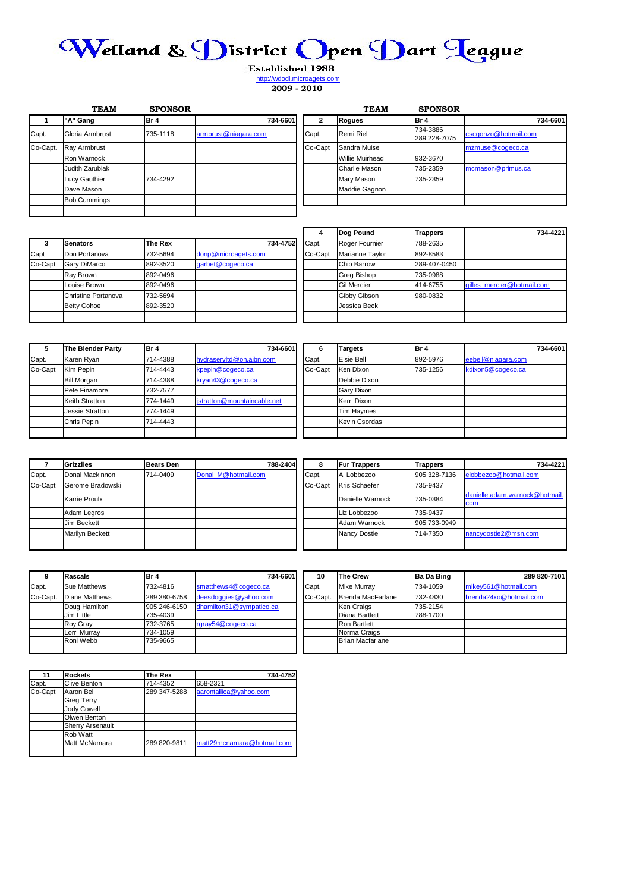## Welland & District Open Dart Teague

Established 1988 http://wdodl.microagets.com

**2009 - 2010**

|          | <b>TEAM</b>         | <b>SPONSOR</b> |                      |         | <b>TEAM</b>     | <b>SPONSOR</b>           |                      |
|----------|---------------------|----------------|----------------------|---------|-----------------|--------------------------|----------------------|
|          | "A" Gang            | Br 4           | 734-6601             | 2       | <b>Rogues</b>   | IBr 4                    | 734-6601             |
| Capt.    | Gloria Armbrust     | 735-1118       | armbrust@niagara.com | Capt.   | Remi Riel       | 734-3886<br>289 228-7075 | cscgonzo@hotmail.com |
| Co-Capt. | Ray Armbrust        |                |                      | Co-Capt | Sandra Muise    |                          | mzmuse@cogeco.ca     |
|          | Ron Warnock         |                |                      |         | Willie Muirhead | 932-3670                 |                      |
|          | Judith Zarubiak     |                |                      |         | Charlie Mason   | 735-2359                 | mcmason@primus.ca    |
|          | Lucy Gauthier       | 734-4292       |                      |         | Mary Mason      | 735-2359                 |                      |
|          | Dave Mason          |                |                      |         | Maddie Gagnon   |                          |                      |
|          | <b>Bob Cummings</b> |                |                      |         |                 |                          |                      |
|          |                     |                |                      |         |                 |                          |                      |

|         |                     |          |                     |          | 4       | Dog Pound          | <b>Trappers</b> | 734-4221                   |
|---------|---------------------|----------|---------------------|----------|---------|--------------------|-----------------|----------------------------|
|         | Senators            | The Rex  |                     | 734-4752 | Capt.   | Roger Fournier     | 788-2635        |                            |
| Capt    | Don Portanova       | 732-5694 | donp@microagets.com |          | Co-Capt | Marianne Taylor    | 892-8583        |                            |
| Co-Capt | <b>Gary DiMarco</b> | 892-3520 | garbet@cogeco.ca    |          |         | <b>Chip Barrow</b> | 289-407-0450    |                            |
|         | Ray Brown           | 892-0496 |                     |          |         | Greg Bishop        | 735-0988        |                            |
|         | Louise Brown        | 892-0496 |                     |          |         | <b>Gil Mercier</b> | 414-6755        | gilles mercier@hotmail.com |
|         | Christine Portanova | 732-5694 |                     |          |         | Gibby Gibson       | 980-0832        |                            |
|         | <b>Betty Cohoe</b>  | 892-3520 |                     |          |         | Jessica Beck       |                 |                            |
|         |                     |          |                     |          |         |                    |                 |                            |

| 5       | The Blender Party  | Br 4     | 734-6601                    | 6       | <b>Targets</b>       | Br 4     | 734-6601           |
|---------|--------------------|----------|-----------------------------|---------|----------------------|----------|--------------------|
| Capt.   | Karen Ryan         | 714-4388 | hydraservitd@on.aibn.com    | Capt.   | Elsie Bell           | 892-5976 | eebell@niagara.com |
| Co-Capt | Kim Pepin          | 714-4443 | kpepin@cogeco.ca            | Co-Capt | Ken Dixon            | 735-1256 | kdixon5@cogeco.ca  |
|         | <b>Bill Morgan</b> | 714-4388 | kryan43@cogeco.ca           |         | Debbie Dixon         |          |                    |
|         | Pete Finamore      | 732-7577 |                             |         | Gary Dixon           |          |                    |
|         | Keith Stratton     | 774-1449 | jstratton@mountaincable.net |         | Kerri Dixon          |          |                    |
|         | Jessie Stratton    | 774-1449 |                             |         | <b>Tim Haymes</b>    |          |                    |
|         | Chris Pepin        | 714-4443 |                             |         | <b>Kevin Csordas</b> |          |                    |
|         |                    |          |                             |         |                      |          |                    |

|               | <b>Grizzlies</b>       | <b>Bears Den</b> |                     | 788-2404 | 8                | <b>Fur Trappers</b>  | <b>Trappers</b>                | 734-4221              |
|---------------|------------------------|------------------|---------------------|----------|------------------|----------------------|--------------------------------|-----------------------|
| Capt.         | Donal Mackinnon        | 714-0409         | Donal M@hotmail.com |          | Capt.            | Al Lobbezoo          | 905 328-7136                   | elobbezoo@hotmail.com |
| Co-Capt       | Gerome Bradowski       |                  |                     |          | Co-Capt          | <b>Kris Schaefer</b> | 735-9437                       |                       |
| Karrie Proulx |                        |                  |                     |          | Danielle Warnock | 735-0384             | danielle.adam.warnock@hotmail. |                       |
|               |                        |                  |                     |          |                  |                      |                                | com                   |
|               | Adam Legros            |                  |                     |          |                  | Liz Lobbezoo         | 735-9437                       |                       |
|               | Jim Beckett            |                  |                     |          |                  | Adam Warnock         | 905 733-0949                   |                       |
|               | <b>Marilyn Beckett</b> |                  |                     |          |                  | <b>Nancy Dostie</b>  | 714-7350                       | nancydostie2@msn.com  |
|               |                        |                  |                     |          |                  |                      |                                |                       |

|          | <b>Rascals</b>  | Br 4         | 734-6601                 | 10       | <b>The Crew</b>         | <b>Ba Da Bing</b> | 289 820-7101           |
|----------|-----------------|--------------|--------------------------|----------|-------------------------|-------------------|------------------------|
| Capt.    | Sue Matthews    | 732-4816     | smatthews4@cogeco.ca     | Capt.    | <b>Mike Murray</b>      | 734-1059          | mikey561@hotmail.com   |
| Co-Capt. | Diane Matthews  | 289 380-6758 | deesdoggies@yahoo.com    | Co-Capt. | Brenda MacFarlane       | 732-4830          | brenda24xo@hotmail.com |
|          | Doug Hamilton   | 905 246-6150 | dhamilton31@sympatico.ca |          | Ken Craias              | 735-2154          |                        |
|          | Jim Little      | 735-4039     |                          |          | Diana Bartlett          | 788-1700          |                        |
|          | <b>Roy Gray</b> | 732-3765     | rgray54@cogeco.ca        |          | Ron Bartlett            |                   |                        |
|          | Lorri Murrav    | 734-1059     |                          |          | Norma Craias            |                   |                        |
|          | Roni Webb       | 735-9665     |                          |          | <b>Brian Macfarlane</b> |                   |                        |
|          |                 |              |                          |          |                         |                   |                        |

| 11      | <b>Rockets</b>          | The Rex      | 734-4752                   |
|---------|-------------------------|--------------|----------------------------|
| Capt.   | Clive Benton            | 714-4352     | 658-2321                   |
| Co-Capt | Aaron Bell              | 289 347-5288 | aarontallica@yahoo.com     |
|         | <b>Greg Terry</b>       |              |                            |
|         | <b>Jody Cowell</b>      |              |                            |
|         | Olwen Benton            |              |                            |
|         | <b>Sherry Arsenault</b> |              |                            |
|         | Rob Watt                |              |                            |
|         | Matt McNamara           | 289 820-9811 | matt29mcnamara@hotmail.com |
|         |                         |              |                            |